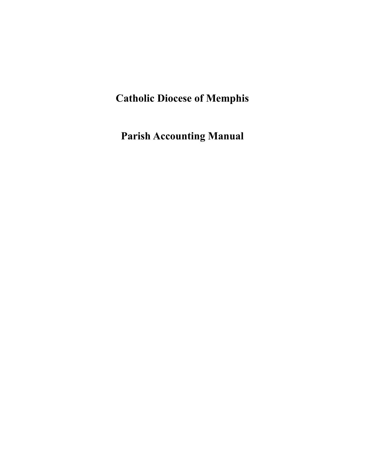# **Catholic Diocese of Memphis**

**Parish Accounting Manual**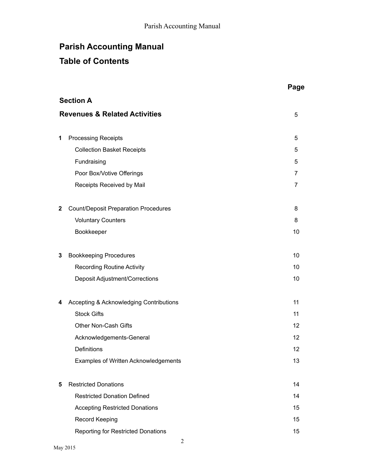## **Table of Contents**

|              |                                             | Page |
|--------------|---------------------------------------------|------|
|              | <b>Section A</b>                            |      |
|              | <b>Revenues &amp; Related Activities</b>    | 5    |
|              |                                             |      |
| 1            | <b>Processing Receipts</b>                  | 5    |
|              | <b>Collection Basket Receipts</b>           | 5    |
|              | Fundraising                                 | 5    |
|              | Poor Box/Votive Offerings                   | 7    |
|              | Receipts Received by Mail                   | 7    |
| $\mathbf{2}$ | <b>Count/Deposit Preparation Procedures</b> | 8    |
|              | <b>Voluntary Counters</b>                   | 8    |
|              | Bookkeeper                                  | 10   |
| 3            | <b>Bookkeeping Procedures</b>               | 10   |
|              | <b>Recording Routine Activity</b>           | 10   |
|              | Deposit Adjustment/Corrections              | 10   |
| 4            | Accepting & Acknowledging Contributions     | 11   |
|              | <b>Stock Gifts</b>                          | 11   |
|              | <b>Other Non-Cash Gifts</b>                 | 12   |
|              | Acknowledgements-General                    | 12   |
|              | Definitions                                 | 12   |
|              | Examples of Written Acknowledgements        | 13   |
| 5            | <b>Restricted Donations</b>                 | 14   |
|              | <b>Restricted Donation Defined</b>          | 14   |
|              | <b>Accepting Restricted Donations</b>       | 15   |
|              | <b>Record Keeping</b>                       | 15   |
|              | <b>Reporting for Restricted Donations</b>   | 15   |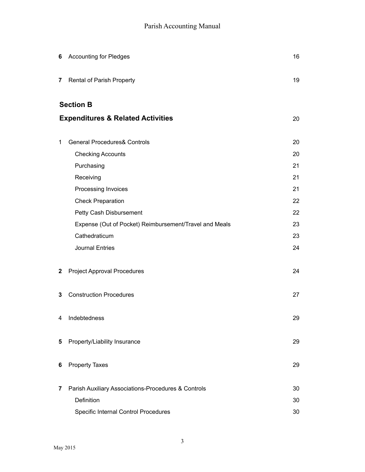| 6            | <b>Accounting for Pledges</b>                          | 16 |
|--------------|--------------------------------------------------------|----|
| 7            | Rental of Parish Property                              | 19 |
|              | <b>Section B</b>                                       |    |
|              | <b>Expenditures &amp; Related Activities</b>           | 20 |
| 1            | <b>General Procedures&amp; Controls</b>                | 20 |
|              | <b>Checking Accounts</b>                               | 20 |
|              | Purchasing                                             | 21 |
|              | Receiving                                              | 21 |
|              | Processing Invoices                                    | 21 |
|              | <b>Check Preparation</b>                               | 22 |
|              | Petty Cash Disbursement                                | 22 |
|              | Expense (Out of Pocket) Reimbursement/Travel and Meals | 23 |
|              | Cathedraticum                                          | 23 |
|              | <b>Journal Entries</b>                                 | 24 |
| $\mathbf{2}$ | <b>Project Approval Procedures</b>                     | 24 |
| 3            | <b>Construction Procedures</b>                         | 27 |
| 4            | Indebtedness                                           | 29 |
| 5            | Property/Liability Insurance                           | 29 |
| 6            | <b>Property Taxes</b>                                  | 29 |
| 7            | Parish Auxiliary Associations-Procedures & Controls    | 30 |
|              | Definition                                             | 30 |
|              | Specific Internal Control Procedures                   | 30 |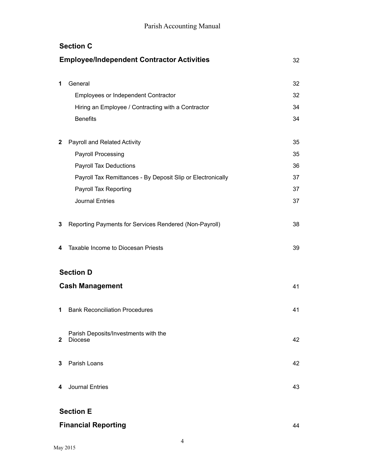|              | <b>Section C</b>                                            |    |
|--------------|-------------------------------------------------------------|----|
|              | <b>Employee/Independent Contractor Activities</b>           | 32 |
|              |                                                             |    |
| 1            | General                                                     | 32 |
|              | Employees or Independent Contractor                         | 32 |
|              | Hiring an Employee / Contracting with a Contractor          | 34 |
|              | <b>Benefits</b>                                             | 34 |
| $\mathbf{2}$ | Payroll and Related Activity                                | 35 |
|              | <b>Payroll Processing</b>                                   | 35 |
|              | Payroll Tax Deductions                                      | 36 |
|              | Payroll Tax Remittances - By Deposit Slip or Electronically | 37 |
|              | Payroll Tax Reporting                                       | 37 |
|              | <b>Journal Entries</b>                                      | 37 |
| 3            | Reporting Payments for Services Rendered (Non-Payroll)      | 38 |
| 4            | Taxable Income to Diocesan Priests                          | 39 |
|              | <b>Section D</b>                                            |    |
|              | <b>Cash Management</b>                                      | 41 |
| 1            | <b>Bank Reconciliation Procedures</b>                       | 41 |
| $\mathbf{2}$ | Parish Deposits/Investments with the<br><b>Diocese</b>      | 42 |
| 3            | Parish Loans                                                | 42 |
| 4            | Journal Entries                                             | 43 |
|              | <b>Section E</b>                                            |    |
|              | <b>Financial Reporting</b>                                  | 44 |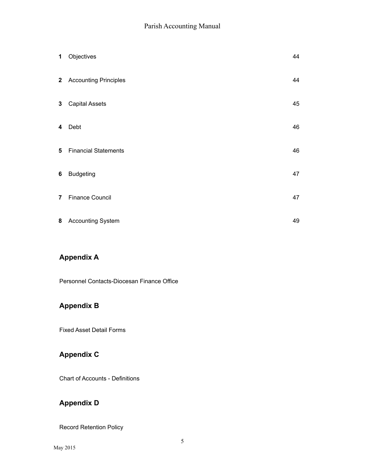| $\mathbf 1$     | Objectives                  | 44 |
|-----------------|-----------------------------|----|
|                 | 2 Accounting Principles     | 44 |
| $\mathbf{3}$    | <b>Capital Assets</b>       | 45 |
| 4               | Debt                        | 46 |
| $5\phantom{.0}$ | <b>Financial Statements</b> | 46 |
| 6               | <b>Budgeting</b>            | 47 |
| 7 <sup>1</sup>  | <b>Finance Council</b>      | 47 |
| 8               | <b>Accounting System</b>    | 49 |

## **Appendix A**

Personnel Contacts-Diocesan Finance Office

## **Appendix B**

Fixed Asset Detail Forms

## **Appendix C**

Chart of Accounts - Definitions

## **Appendix D**

Record Retention Policy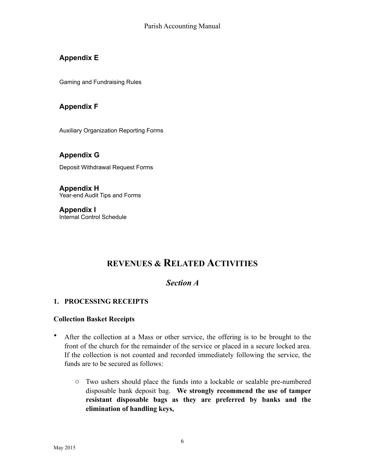## **Appendix E**

Gaming and Fundraising Rules

### **Appendix F**

Auxiliary Organization Reporting Forms

**Appendix G** Deposit Withdrawal Request Forms

**Appendix H** Year-end Audit Tips and Forms

**Appendix I** Internal Control Schedule

## **REVENUES & RELATED ACTIVITIES**

## *Section A*

#### **1. PROCESSING RECEIPTS**

#### **Collection Basket Receipts**

- After the collection at a Mass or other service, the offering is to be brought to the front of the church for the remainder of the service or placed in a secure locked area. If the collection is not counted and recorded immediately following the service, the funds are to be secured as follows:
	- o Two ushers should place the funds into a lockable or sealable pre-numbered disposable bank deposit bag. **We strongly recommend the use of tamper resistant disposable bags as they are preferred by banks and the elimination of handling keys,**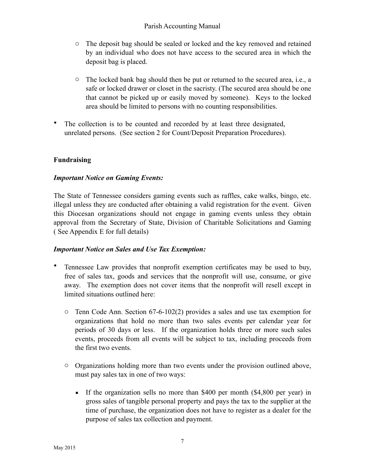- o The deposit bag should be sealed or locked and the key removed and retained by an individual who does not have access to the secured area in which the deposit bag is placed.
- o The locked bank bag should then be put or returned to the secured area, i.e., a safe or locked drawer or closet in the sacristy. (The secured area should be one that cannot be picked up or easily moved by someone). Keys to the locked area should be limited to persons with no counting responsibilities.
- The collection is to be counted and recorded by at least three designated, unrelated persons. (See section 2 for Count/Deposit Preparation Procedures).

#### **Fundraising**

#### *Important Notice on Gaming Events:*

The State of Tennessee considers gaming events such as raffles, cake walks, bingo, etc. illegal unless they are conducted after obtaining a valid registration for the event. Given this Diocesan organizations should not engage in gaming events unless they obtain approval from the Secretary of State, Division of Charitable Solicitations and Gaming ( See Appendix E for full details)

#### *Important Notice on Sales and Use Tax Exemption:*

- Tennessee Law provides that nonprofit exemption certificates may be used to buy, free of sales tax, goods and services that the nonprofit will use, consume, or give away. The exemption does not cover items that the nonprofit will resell except in limited situations outlined here:
	- $\circ$  Tenn Code Ann. Section 67-6-102(2) provides a sales and use tax exemption for organizations that hold no more than two sales events per calendar year for periods of 30 days or less. If the organization holds three or more such sales events, proceeds from all events will be subject to tax, including proceeds from the first two events.
	- o Organizations holding more than two events under the provision outlined above, must pay sales tax in one of two ways:
		- If the organization sells no more than \$400 per month (\$4,800 per year) in gross sales of tangible personal property and pays the tax to the supplier at the time of purchase, the organization does not have to register as a dealer for the purpose of sales tax collection and payment.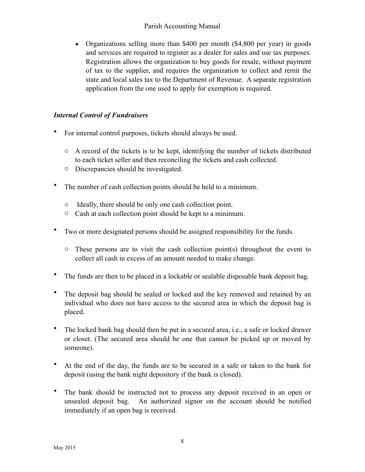▪ Organizations selling more than \$400 per month (\$4,800 per year) in goods and services are required to register as a dealer for sales and use tax purposes. Registration allows the organization to buy goods for resale, without payment of tax to the supplier, and requires the organization to collect and remit the state and local sales tax to the Department of Revenue. A separate registration application from the one used to apply for exemption is required.

#### *Internal Control of Fundraisers*

- For internal control purposes, tickets should always be used.
	- o A record of the tickets is to be kept, identifying the number of tickets distributed to each ticket seller and then reconciling the tickets and cash collected.
	- o Discrepancies should be investigated.
- The number of cash collection points should be held to a minimum.
	- o Ideally, there should be only one cash collection point.
	- o Cash at each collection point should be kept to a minimum.
- Two or more designated persons should be assigned responsibility for the funds.
	- $\circ$  These persons are to visit the cash collection point(s) throughout the event to collect all cash in excess of an amount needed to make change.
- The funds are then to be placed in a lockable or sealable disposable bank deposit bag.
- The deposit bag should be sealed or locked and the key removed and retained by an individual who does not have access to the secured area in which the deposit bag is placed.
- The locked bank bag should then be put in a secured area, i.e., a safe or locked drawer or closet. (The secured area should be one that cannot be picked up or moved by someone).
- At the end of the day, the funds are to be secured in a safe or taken to the bank for deposit (using the bank night depository if the bank is closed).
- The bank should be instructed not to process any deposit received in an open or unsealed deposit bag. An authorized signor on the account should be notified immediately if an open bag is received.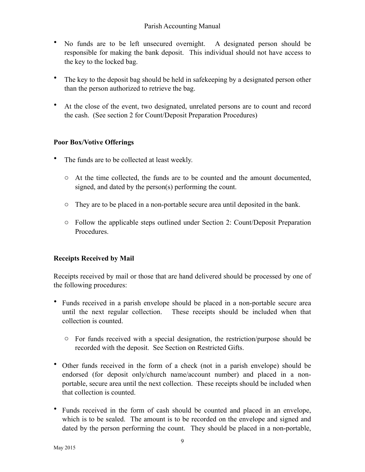- No funds are to be left unsecured overnight. A designated person should be responsible for making the bank deposit. This individual should not have access to the key to the locked bag.
- The key to the deposit bag should be held in safekeeping by a designated person other than the person authorized to retrieve the bag.
- At the close of the event, two designated, unrelated persons are to count and record the cash. (See section 2 for Count/Deposit Preparation Procedures)

#### **Poor Box/Votive Offerings**

- The funds are to be collected at least weekly.
	- $\circ$  At the time collected, the funds are to be counted and the amount documented, signed, and dated by the person(s) performing the count.
	- o They are to be placed in a non-portable secure area until deposited in the bank.
	- o Follow the applicable steps outlined under Section 2: Count/Deposit Preparation **Procedures**

#### **Receipts Received by Mail**

Receipts received by mail or those that are hand delivered should be processed by one of the following procedures:

- Funds received in a parish envelope should be placed in a non-portable secure area until the next regular collection. These receipts should be included when that collection is counted.
	- o For funds received with a special designation, the restriction/purpose should be recorded with the deposit. See Section on Restricted Gifts.
- Other funds received in the form of a check (not in a parish envelope) should be endorsed (for deposit only/church name/account number) and placed in a nonportable, secure area until the next collection. These receipts should be included when that collection is counted.
- Funds received in the form of cash should be counted and placed in an envelope, which is to be sealed. The amount is to be recorded on the envelope and signed and dated by the person performing the count. They should be placed in a non-portable,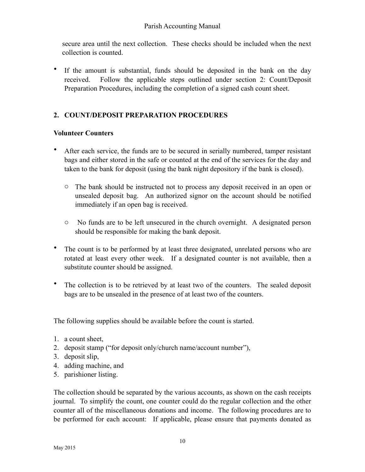secure area until the next collection. These checks should be included when the next collection is counted.

• If the amount is substantial, funds should be deposited in the bank on the day received. Follow the applicable steps outlined under section 2: Count/Deposit Preparation Procedures, including the completion of a signed cash count sheet.

## **2. COUNT/DEPOSIT PREPARATION PROCEDURES**

#### **Volunteer Counters**

- After each service, the funds are to be secured in serially numbered, tamper resistant bags and either stored in the safe or counted at the end of the services for the day and taken to the bank for deposit (using the bank night depository if the bank is closed).
	- o The bank should be instructed not to process any deposit received in an open or unsealed deposit bag. An authorized signor on the account should be notified immediately if an open bag is received.
	- o No funds are to be left unsecured in the church overnight. A designated person should be responsible for making the bank deposit.
- The count is to be performed by at least three designated, unrelated persons who are rotated at least every other week. If a designated counter is not available, then a substitute counter should be assigned.
- The collection is to be retrieved by at least two of the counters. The sealed deposit bags are to be unsealed in the presence of at least two of the counters.

The following supplies should be available before the count is started.

- 1. a count sheet,
- 2. deposit stamp ("for deposit only/church name/account number"),
- 3. deposit slip,
- 4. adding machine, and
- 5. parishioner listing.

The collection should be separated by the various accounts, as shown on the cash receipts journal. To simplify the count, one counter could do the regular collection and the other counter all of the miscellaneous donations and income. The following procedures are to be performed for each account: If applicable, please ensure that payments donated as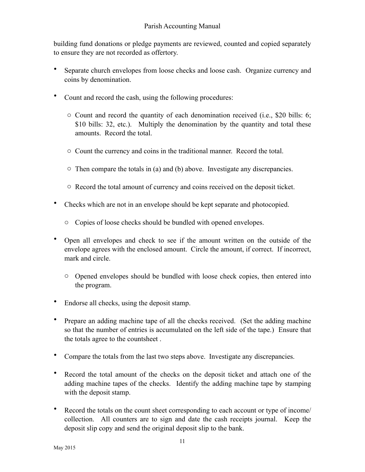building fund donations or pledge payments are reviewed, counted and copied separately to ensure they are not recorded as offertory.

- Separate church envelopes from loose checks and loose cash. Organize currency and coins by denomination.
- Count and record the cash, using the following procedures:
	- o Count and record the quantity of each denomination received (i.e., \$20 bills: 6; \$10 bills: 32, etc.). Multiply the denomination by the quantity and total these amounts. Record the total.
	- o Count the currency and coins in the traditional manner. Record the total.
	- o Then compare the totals in (a) and (b) above. Investigate any discrepancies.
	- o Record the total amount of currency and coins received on the deposit ticket.
- Checks which are not in an envelope should be kept separate and photocopied.
	- o Copies of loose checks should be bundled with opened envelopes.
- Open all envelopes and check to see if the amount written on the outside of the envelope agrees with the enclosed amount. Circle the amount, if correct. If incorrect, mark and circle.
	- o Opened envelopes should be bundled with loose check copies, then entered into the program.
- Endorse all checks, using the deposit stamp.
- Prepare an adding machine tape of all the checks received. (Set the adding machine so that the number of entries is accumulated on the left side of the tape.) Ensure that the totals agree to the countsheet .
- Compare the totals from the last two steps above. Investigate any discrepancies.
- Record the total amount of the checks on the deposit ticket and attach one of the adding machine tapes of the checks. Identify the adding machine tape by stamping with the deposit stamp.
- Record the totals on the count sheet corresponding to each account or type of income/ collection. All counters are to sign and date the cash receipts journal. Keep the deposit slip copy and send the original deposit slip to the bank.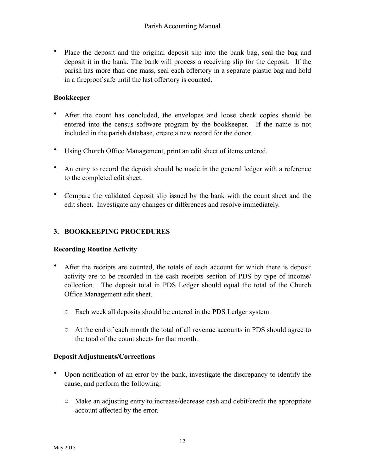• Place the deposit and the original deposit slip into the bank bag, seal the bag and deposit it in the bank. The bank will process a receiving slip for the deposit. If the parish has more than one mass, seal each offertory in a separate plastic bag and hold in a fireproof safe until the last offertory is counted.

#### **Bookkeeper**

- After the count has concluded, the envelopes and loose check copies should be entered into the census software program by the bookkeeper. If the name is not included in the parish database, create a new record for the donor.
- Using Church Office Management, print an edit sheet of items entered.
- An entry to record the deposit should be made in the general ledger with a reference to the completed edit sheet.
- Compare the validated deposit slip issued by the bank with the count sheet and the edit sheet. Investigate any changes or differences and resolve immediately.

#### **3. BOOKKEEPING PROCEDURES**

#### **Recording Routine Activity**

- After the receipts are counted, the totals of each account for which there is deposit activity are to be recorded in the cash receipts section of PDS by type of income/ collection. The deposit total in PDS Ledger should equal the total of the Church Office Management edit sheet.
	- o Each week all deposits should be entered in the PDS Ledger system.
	- o At the end of each month the total of all revenue accounts in PDS should agree to the total of the count sheets for that month.

#### **Deposit Adjustments/Corrections**

- Upon notification of an error by the bank, investigate the discrepancy to identify the cause, and perform the following:
	- o Make an adjusting entry to increase/decrease cash and debit/credit the appropriate account affected by the error.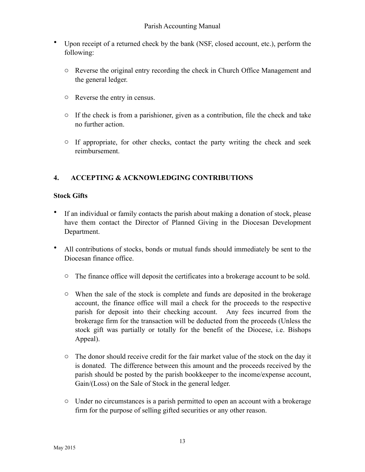- Upon receipt of a returned check by the bank (NSF, closed account, etc.), perform the following:
	- o Reverse the original entry recording the check in Church Office Management and the general ledger.
	- o Reverse the entry in census.
	- o If the check is from a parishioner, given as a contribution, file the check and take no further action.
	- o If appropriate, for other checks, contact the party writing the check and seek reimbursement.

## **4. ACCEPTING & ACKNOWLEDGING CONTRIBUTIONS**

#### **Stock Gifts**

- If an individual or family contacts the parish about making a donation of stock, please have them contact the Director of Planned Giving in the Diocesan Development Department.
- All contributions of stocks, bonds or mutual funds should immediately be sent to the Diocesan finance office.
	- o The finance office will deposit the certificates into a brokerage account to be sold.
	- o When the sale of the stock is complete and funds are deposited in the brokerage account, the finance office will mail a check for the proceeds to the respective parish for deposit into their checking account. Any fees incurred from the brokerage firm for the transaction will be deducted from the proceeds (Unless the stock gift was partially or totally for the benefit of the Diocese, i.e. Bishops Appeal).
	- $\circ$  The donor should receive credit for the fair market value of the stock on the day it is donated. The difference between this amount and the proceeds received by the parish should be posted by the parish bookkeeper to the income/expense account, Gain/(Loss) on the Sale of Stock in the general ledger.
	- o Under no circumstances is a parish permitted to open an account with a brokerage firm for the purpose of selling gifted securities or any other reason.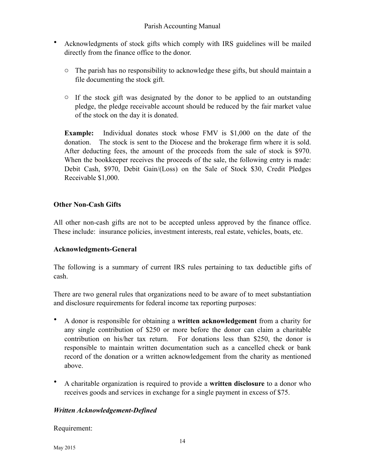- Acknowledgments of stock gifts which comply with IRS guidelines will be mailed directly from the finance office to the donor.
	- $\circ$  The parish has no responsibility to acknowledge these gifts, but should maintain a file documenting the stock gift.
	- o If the stock gift was designated by the donor to be applied to an outstanding pledge, the pledge receivable account should be reduced by the fair market value of the stock on the day it is donated.

**Example:** Individual donates stock whose FMV is \$1,000 on the date of the donation. The stock is sent to the Diocese and the brokerage firm where it is sold. After deducting fees, the amount of the proceeds from the sale of stock is \$970. When the bookkeeper receives the proceeds of the sale, the following entry is made: Debit Cash, \$970, Debit Gain/(Loss) on the Sale of Stock \$30, Credit Pledges Receivable \$1,000.

#### **Other Non-Cash Gifts**

All other non-cash gifts are not to be accepted unless approved by the finance office. These include: insurance policies, investment interests, real estate, vehicles, boats, etc.

#### **Acknowledgments-General**

The following is a summary of current IRS rules pertaining to tax deductible gifts of cash.

There are two general rules that organizations need to be aware of to meet substantiation and disclosure requirements for federal income tax reporting purposes:

- A donor is responsible for obtaining a **written acknowledgement** from a charity for any single contribution of \$250 or more before the donor can claim a charitable contribution on his/her tax return. For donations less than \$250, the donor is responsible to maintain written documentation such as a cancelled check or bank record of the donation or a written acknowledgement from the charity as mentioned above.
- A charitable organization is required to provide a **written disclosure** to a donor who receives goods and services in exchange for a single payment in excess of \$75.

#### *Written Acknowledgement-Defined*

Requirement: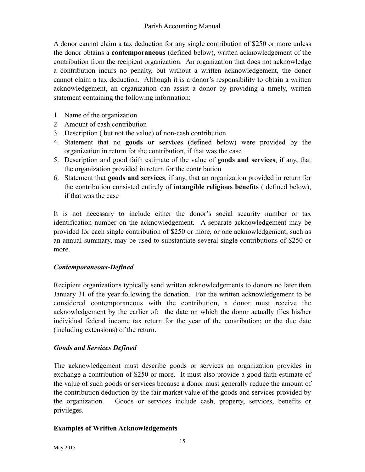A donor cannot claim a tax deduction for any single contribution of \$250 or more unless the donor obtains a **contemporaneous** (defined below), written acknowledgement of the contribution from the recipient organization. An organization that does not acknowledge a contribution incurs no penalty, but without a written acknowledgement, the donor cannot claim a tax deduction. Although it is a donor's responsibility to obtain a written acknowledgement, an organization can assist a donor by providing a timely, written statement containing the following information:

- 1. Name of the organization
- 2 Amount of cash contribution
- 3. Description ( but not the value) of non-cash contribution
- 4. Statement that no **goods or services** (defined below) were provided by the organization in return for the contribution, if that was the case
- 5. Description and good faith estimate of the value of **goods and services**, if any, that the organization provided in return for the contribution
- 6. Statement that **goods and services**, if any, that an organization provided in return for the contribution consisted entirely of **intangible religious benefits** ( defined below), if that was the case

It is not necessary to include either the donor's social security number or tax identification number on the acknowledgement. A separate acknowledgement may be provided for each single contribution of \$250 or more, or one acknowledgement, such as an annual summary, may be used to substantiate several single contributions of \$250 or more.

#### *Contemporaneous-Defined*

Recipient organizations typically send written acknowledgements to donors no later than January 31 of the year following the donation. For the written acknowledgement to be considered contemporaneous with the contribution, a donor must receive the acknowledgement by the earlier of: the date on which the donor actually files his/her individual federal income tax return for the year of the contribution; or the due date (including extensions) of the return.

#### *Goods and Services Defined*

The acknowledgement must describe goods or services an organization provides in exchange a contribution of \$250 or more. It must also provide a good faith estimate of the value of such goods or services because a donor must generally reduce the amount of the contribution deduction by the fair market value of the goods and services provided by the organization. Goods or services include cash, property, services, benefits or privileges.

#### **Examples of Written Acknowledgements**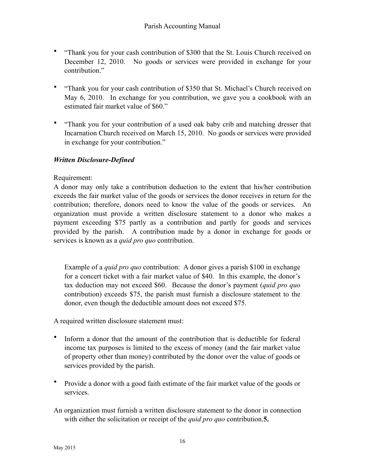- "Thank you for your cash contribution of \$300 that the St. Louis Church received on December 12, 2010. No goods or services were provided in exchange for your contribution<sup>"</sup>
- "Thank you for your cash contribution of \$350 that St. Michael's Church received on May 6, 2010. In exchange for you contribution, we gave you a cookbook with an estimated fair market value of \$60."
- "Thank you for your contribution of a used oak baby crib and matching dresser that Incarnation Church received on March 15, 2010. No goods or services were provided in exchange for your contribution."

#### *Written Disclosure-Defined*

#### Requirement:

A donor may only take a contribution deduction to the extent that his/her contribution exceeds the fair market value of the goods or services the donor receives in return for the contribution; therefore, donors need to know the value of the goods or services. An organization must provide a written disclosure statement to a donor who makes a payment exceeding \$75 partly as a contribution and partly for goods and services provided by the parish. A contribution made by a donor in exchange for goods or services is known as a *quid pro quo* contribution.

 Example of a *quid pro quo* contribution: A donor gives a parish \$100 in exchange for a concert ticket with a fair market value of \$40. In this example, the donor's tax deduction may not exceed \$60. Because the donor's payment (*quid pro quo* contribution) exceeds \$75, the parish must furnish a disclosure statement to the donor, even though the deductible amount does not exceed \$75.

A required written disclosure statement must:

- Inform a donor that the amount of the contribution that is deductible for federal income tax purposes is limited to the excess of money (and the fair market value of property other than money) contributed by the donor over the value of goods or services provided by the parish.
- Provide a donor with a good faith estimate of the fair market value of the goods or services.
- An organization must furnish a written disclosure statement to the donor in connection with either the solicitation or receipt of the *quid pro quo* contribution.**5.**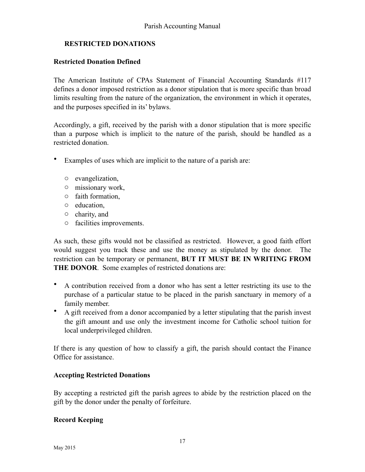#### **RESTRICTED DONATIONS**

#### **Restricted Donation Defined**

The American Institute of CPAs Statement of Financial Accounting Standards #117 defines a donor imposed restriction as a donor stipulation that is more specific than broad limits resulting from the nature of the organization, the environment in which it operates, and the purposes specified in its' bylaws.

Accordingly, a gift, received by the parish with a donor stipulation that is more specific than a purpose which is implicit to the nature of the parish, should be handled as a restricted donation.

- Examples of uses which are implicit to the nature of a parish are:
	- o evangelization,
	- o missionary work,
	- o faith formation,
	- o education,
	- o charity, and
	- o facilities improvements.

As such, these gifts would not be classified as restricted. However, a good faith effort would suggest you track these and use the money as stipulated by the donor. The restriction can be temporary or permanent, **BUT IT MUST BE IN WRITING FROM THE DONOR**. Some examples of restricted donations are:

- A contribution received from a donor who has sent a letter restricting its use to the purchase of a particular statue to be placed in the parish sanctuary in memory of a family member.
- A gift received from a donor accompanied by a letter stipulating that the parish invest the gift amount and use only the investment income for Catholic school tuition for local underprivileged children.

If there is any question of how to classify a gift, the parish should contact the Finance Office for assistance.

#### **Accepting Restricted Donations**

By accepting a restricted gift the parish agrees to abide by the restriction placed on the gift by the donor under the penalty of forfeiture.

#### **Record Keeping**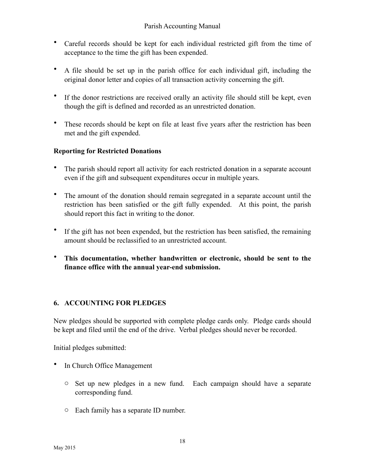- Careful records should be kept for each individual restricted gift from the time of acceptance to the time the gift has been expended.
- A file should be set up in the parish office for each individual gift, including the original donor letter and copies of all transaction activity concerning the gift.
- If the donor restrictions are received orally an activity file should still be kept, even though the gift is defined and recorded as an unrestricted donation.
- These records should be kept on file at least five years after the restriction has been met and the gift expended.

## **Reporting for Restricted Donations**

- The parish should report all activity for each restricted donation in a separate account even if the gift and subsequent expenditures occur in multiple years.
- The amount of the donation should remain segregated in a separate account until the restriction has been satisfied or the gift fully expended. At this point, the parish should report this fact in writing to the donor.
- If the gift has not been expended, but the restriction has been satisfied, the remaining amount should be reclassified to an unrestricted account.
- **This documentation, whether handwritten or electronic, should be sent to the finance office with the annual year-end submission.**

## **6. ACCOUNTING FOR PLEDGES**

New pledges should be supported with complete pledge cards only. Pledge cards should be kept and filed until the end of the drive. Verbal pledges should never be recorded.

Initial pledges submitted:

- In Church Office Management
	- o Set up new pledges in a new fund. Each campaign should have a separate corresponding fund.
	- o Each family has a separate ID number.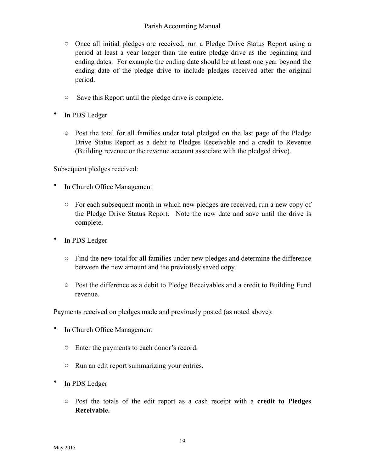- o Once all initial pledges are received, run a Pledge Drive Status Report using a period at least a year longer than the entire pledge drive as the beginning and ending dates. For example the ending date should be at least one year beyond the ending date of the pledge drive to include pledges received after the original period.
- o Save this Report until the pledge drive is complete.
- In PDS Ledger
	- o Post the total for all families under total pledged on the last page of the Pledge Drive Status Report as a debit to Pledges Receivable and a credit to Revenue (Building revenue or the revenue account associate with the pledged drive).

Subsequent pledges received:

- In Church Office Management
	- o For each subsequent month in which new pledges are received, run a new copy of the Pledge Drive Status Report. Note the new date and save until the drive is complete.
- In PDS Ledger
	- o Find the new total for all families under new pledges and determine the difference between the new amount and the previously saved copy.
	- o Post the difference as a debit to Pledge Receivables and a credit to Building Fund revenue.

Payments received on pledges made and previously posted (as noted above):

- In Church Office Management
	- o Enter the payments to each donor's record.
	- o Run an edit report summarizing your entries.
- In PDS Ledger
	- o Post the totals of the edit report as a cash receipt with a **credit to Pledges Receivable.**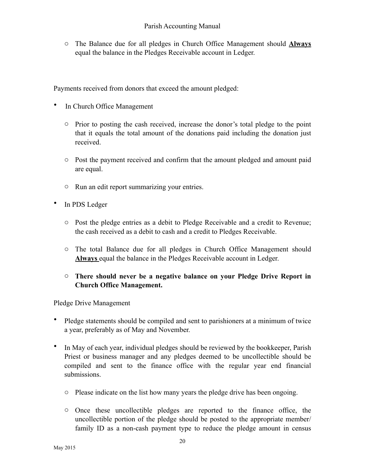o The Balance due for all pledges in Church Office Management should **Always**  equal the balance in the Pledges Receivable account in Ledger.

Payments received from donors that exceed the amount pledged:

- In Church Office Management
	- o Prior to posting the cash received, increase the donor's total pledge to the point that it equals the total amount of the donations paid including the donation just received.
	- o Post the payment received and confirm that the amount pledged and amount paid are equal.
	- o Run an edit report summarizing your entries.
- In PDS Ledger
	- o Post the pledge entries as a debit to Pledge Receivable and a credit to Revenue; the cash received as a debit to cash and a credit to Pledges Receivable.
	- o The total Balance due for all pledges in Church Office Management should **Always** equal the balance in the Pledges Receivable account in Ledger.

#### o **There should never be a negative balance on your Pledge Drive Report in Church Office Management.**

Pledge Drive Management

- Pledge statements should be compiled and sent to parishioners at a minimum of twice a year, preferably as of May and November.
- In May of each year, individual pledges should be reviewed by the bookkeeper, Parish Priest or business manager and any pledges deemed to be uncollectible should be compiled and sent to the finance office with the regular year end financial submissions.
	- o Please indicate on the list how many years the pledge drive has been ongoing.
	- o Once these uncollectible pledges are reported to the finance office, the uncollectible portion of the pledge should be posted to the appropriate member/ family ID as a non-cash payment type to reduce the pledge amount in census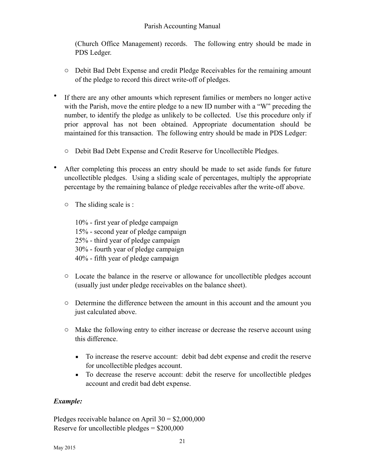(Church Office Management) records. The following entry should be made in PDS Ledger.

- o Debit Bad Debt Expense and credit Pledge Receivables for the remaining amount of the pledge to record this direct write-off of pledges.
- If there are any other amounts which represent families or members no longer active with the Parish, move the entire pledge to a new ID number with a "W" preceding the number, to identify the pledge as unlikely to be collected. Use this procedure only if prior approval has not been obtained. Appropriate documentation should be maintained for this transaction. The following entry should be made in PDS Ledger:
	- o Debit Bad Debt Expense and Credit Reserve for Uncollectible Pledges.
- After completing this process an entry should be made to set aside funds for future uncollectible pledges. Using a sliding scale of percentages, multiply the appropriate percentage by the remaining balance of pledge receivables after the write-off above.
	- o The sliding scale is :

 10% - first year of pledge campaign 15% - second year of pledge campaign 25% - third year of pledge campaign 30% - fourth year of pledge campaign 40% - fifth year of pledge campaign

- o Locate the balance in the reserve or allowance for uncollectible pledges account (usually just under pledge receivables on the balance sheet).
- o Determine the difference between the amount in this account and the amount you just calculated above.
- o Make the following entry to either increase or decrease the reserve account using this difference.
	- To increase the reserve account: debit bad debt expense and credit the reserve for uncollectible pledges account.
	- To decrease the reserve account: debit the reserve for uncollectible pledges account and credit bad debt expense.

## *Example:*

Pledges receivable balance on April  $30 = $2,000,000$ Reserve for uncollectible pledges = \$200,000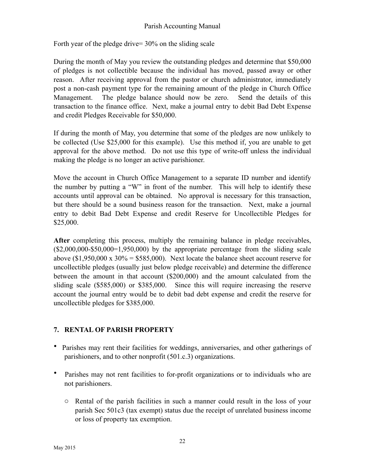Forth year of the pledge drive= 30% on the sliding scale

During the month of May you review the outstanding pledges and determine that \$50,000 of pledges is not collectible because the individual has moved, passed away or other reason. After receiving approval from the pastor or church administrator, immediately post a non-cash payment type for the remaining amount of the pledge in Church Office Management. The pledge balance should now be zero. Send the details of this transaction to the finance office. Next, make a journal entry to debit Bad Debt Expense and credit Pledges Receivable for \$50,000.

If during the month of May, you determine that some of the pledges are now unlikely to be collected (Use \$25,000 for this example). Use this method if, you are unable to get approval for the above method. Do not use this type of write-off unless the individual making the pledge is no longer an active parishioner.

Move the account in Church Office Management to a separate ID number and identify the number by putting a "W" in front of the number. This will help to identify these accounts until approval can be obtained. No approval is necessary for this transaction, but there should be a sound business reason for the transaction. Next, make a journal entry to debit Bad Debt Expense and credit Reserve for Uncollectible Pledges for \$25,000.

After completing this process, multiply the remaining balance in pledge receivables,  $($2,000,000-$50,000=1,950,000)$  by the appropriate percentage from the sliding scale above  $(\$1,950,000 \text{ x } 30\% = \$585,000)$ . Next locate the balance sheet account reserve for uncollectible pledges (usually just below pledge receivable) and determine the difference between the amount in that account (\$200,000) and the amount calculated from the sliding scale (\$585,000) or \$385,000. Since this will require increasing the reserve account the journal entry would be to debit bad debt expense and credit the reserve for uncollectible pledges for \$385,000.

#### **7. RENTAL OF PARISH PROPERTY**

- Parishes may rent their facilities for weddings, anniversaries, and other gatherings of parishioners, and to other nonprofit (501.c.3) organizations.
- Parishes may not rent facilities to for-profit organizations or to individuals who are not parishioners.
	- o Rental of the parish facilities in such a manner could result in the loss of your parish Sec 501c3 (tax exempt) status due the receipt of unrelated business income or loss of property tax exemption.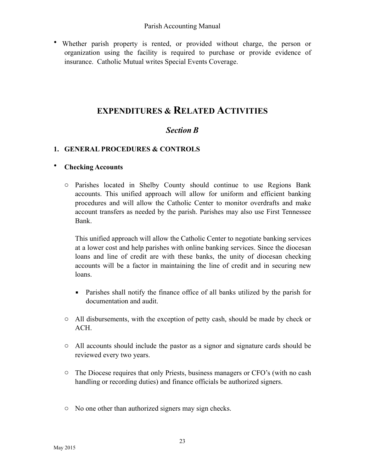• Whether parish property is rented, or provided without charge, the person or organization using the facility is required to purchase or provide evidence of insurance. Catholic Mutual writes Special Events Coverage.

## **EXPENDITURES & RELATED ACTIVITIES**

## *Section B*

## **1. GENERAL PROCEDURES & CONTROLS**

#### • **Checking Accounts**

o Parishes located in Shelby County should continue to use Regions Bank accounts. This unified approach will allow for uniform and efficient banking procedures and will allow the Catholic Center to monitor overdrafts and make account transfers as needed by the parish. Parishes may also use First Tennessee Bank.

This unified approach will allow the Catholic Center to negotiate banking services at a lower cost and help parishes with online banking services. Since the diocesan loans and line of credit are with these banks, the unity of diocesan checking accounts will be a factor in maintaining the line of credit and in securing new loans.

- Parishes shall notify the finance office of all banks utilized by the parish for documentation and audit.
- o All disbursements, with the exception of petty cash, should be made by check or ACH.
- o All accounts should include the pastor as a signor and signature cards should be reviewed every two years.
- o The Diocese requires that only Priests, business managers or CFO's (with no cash handling or recording duties) and finance officials be authorized signers.
- o No one other than authorized signers may sign checks.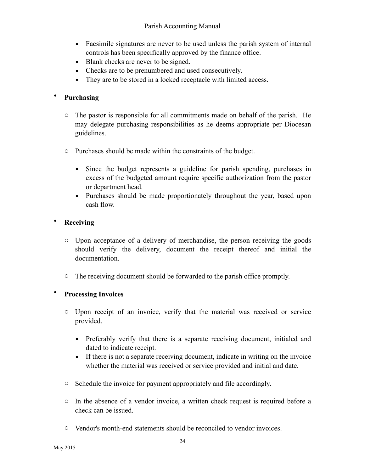- Facsimile signatures are never to be used unless the parish system of internal controls has been specifically approved by the finance office.
- **Blank checks are never to be signed.**
- Checks are to be prenumbered and used consecutively.
- They are to be stored in a locked receptacle with limited access.

## • **Purchasing**

- o The pastor is responsible for all commitments made on behalf of the parish. He may delegate purchasing responsibilities as he deems appropriate per Diocesan guidelines.
- o Purchases should be made within the constraints of the budget.
	- Since the budget represents a guideline for parish spending, purchases in excess of the budgeted amount require specific authorization from the pastor or department head.
	- **•** Purchases should be made proportionately throughout the year, based upon cash flow.

## • **Receiving**

- o Upon acceptance of a delivery of merchandise, the person receiving the goods should verify the delivery, document the receipt thereof and initial the documentation.
- o The receiving document should be forwarded to the parish office promptly.

## • **Processing Invoices**

- o Upon receipt of an invoice, verify that the material was received or service provided.
	- **•** Preferably verify that there is a separate receiving document, initialed and dated to indicate receipt.
	- **If there is not a separate receiving document, indicate in writing on the invoice** whether the material was received or service provided and initial and date.
- o Schedule the invoice for payment appropriately and file accordingly.
- o In the absence of a vendor invoice, a written check request is required before a check can be issued.
- o Vendor's month-end statements should be reconciled to vendor invoices.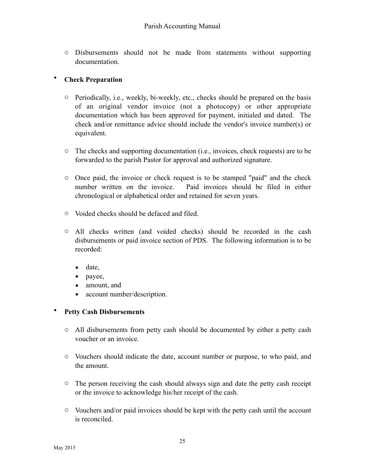o Disbursements should not be made from statements without supporting documentation.

#### • **Check Preparation**

- o Periodically, i.e., weekly, bi-weekly, etc., checks should be prepared on the basis of an original vendor invoice (not a photocopy) or other appropriate documentation which has been approved for payment, initialed and dated. The check and/or remittance advice should include the vendor's invoice number(s) or equivalent.
- o The checks and supporting documentation (i.e., invoices, check requests) are to be forwarded to the parish Pastor for approval and authorized signature.
- o Once paid, the invoice or check request is to be stamped "paid" and the check number written on the invoice. Paid invoices should be filed in either chronological or alphabetical order and retained for seven years.
- o Voided checks should be defaced and filed.
- o All checks written (and voided checks) should be recorded in the cash disbursements or paid invoice section of PDS. The following information is to be recorded:
	- $\blacksquare$  date,
	- **payee**,
	- amount, and
	- account number/description.

#### • **Petty Cash Disbursements**

- o All disbursements from petty cash should be documented by either a petty cash voucher or an invoice.
- o Vouchers should indicate the date, account number or purpose, to who paid, and the amount.
- o The person receiving the cash should always sign and date the petty cash receipt or the invoice to acknowledge his/her receipt of the cash.
- o Vouchers and/or paid invoices should be kept with the petty cash until the account is reconciled.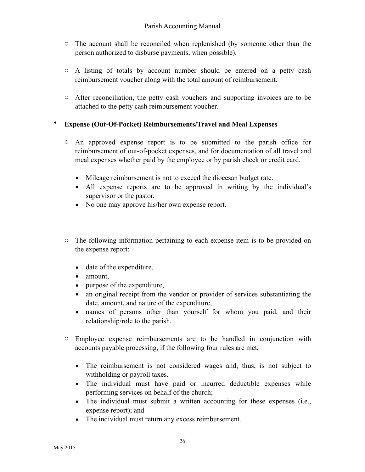- o The account shall be reconciled when replenished (by someone other than the person authorized to disburse payments, when possible).
- o A listing of totals by account number should be entered on a petty cash reimbursement voucher along with the total amount of reimbursement.
- o After reconciliation, the petty cash vouchers and supporting invoices are to be attached to the petty cash reimbursement voucher.

## • **Expense (Out-Of-Pocket) Reimbursements/Travel and Meal Expenses**

- o An approved expense report is to be submitted to the parish office for reimbursement of out-of-pocket expenses, and for documentation of all travel and meal expenses whether paid by the employee or by parish check or credit card.
	- Mileage reimbursement is not to exceed the diocesan budget rate.
	- All expense reports are to be approved in writing by the individual's supervisor or the pastor.
	- No one may approve his/her own expense report.
- o The following information pertaining to each expense item is to be provided on the expense report:
	- date of the expenditure,
	- **u** amount,
	- **•** purpose of the expenditure,
	- an original receipt from the vendor or provider of services substantiating the date, amount, and nature of the expenditure,
	- **Exercise** names of persons other than yourself for whom you paid, and their relationship/role to the parish.
- o Employee expense reimbursements are to be handled in conjunction with accounts payable processing, if the following four rules are met,
	- The reimbursement is not considered wages and, thus, is not subject to withholding or payroll taxes.
	- The individual must have paid or incurred deductible expenses while performing services on behalf of the church;
	- The individual must submit a written accounting for these expenses (i.e., expense report); and
	- The individual must return any excess reimbursement.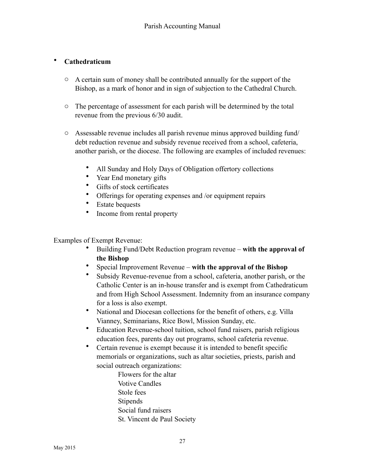## • **Cathedraticum**

- o A certain sum of money shall be contributed annually for the support of the Bishop, as a mark of honor and in sign of subjection to the Cathedral Church.
- o The percentage of assessment for each parish will be determined by the total revenue from the previous 6/30 audit.
- o Assessable revenue includes all parish revenue minus approved building fund/ debt reduction revenue and subsidy revenue received from a school, cafeteria, another parish, or the diocese. The following are examples of included revenues:
	- All Sunday and Holy Days of Obligation offertory collections
	- Year End monetary gifts
	- Gifts of stock certificates
	- Offerings for operating expenses and /or equipment repairs
	- **Estate bequests**
	- Income from rental property

Examples of Exempt Revenue:

- Building Fund/Debt Reduction program revenue **with the approval of the Bishop**
- Special Improvement Revenue **with the approval of the Bishop**
- Subsidy Revenue-revenue from a school, cafeteria, another parish, or the Catholic Center is an in-house transfer and is exempt from Cathedraticum and from High School Assessment. Indemnity from an insurance company for a loss is also exempt.
- National and Diocesan collections for the benefit of others, e.g. Villa Vianney, Seminarians, Rice Bowl, Mission Sunday, etc.
- Education Revenue-school tuition, school fund raisers, parish religious education fees, parents day out programs, school cafeteria revenue.
- Certain revenue is exempt because it is intended to benefit specific memorials or organizations, such as altar societies, priests, parish and social outreach organizations:
	- Flowers for the altar Votive Candles Stole fees Stipends Social fund raisers St. Vincent de Paul Society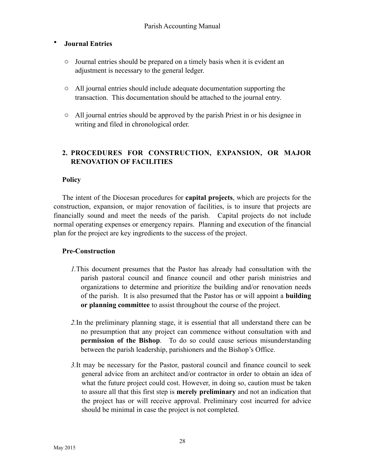#### • **Journal Entries**

- o Journal entries should be prepared on a timely basis when it is evident an adjustment is necessary to the general ledger.
- o All journal entries should include adequate documentation supporting the transaction. This documentation should be attached to the journal entry.
- o All journal entries should be approved by the parish Priest in or his designee in writing and filed in chronological order.

## **2. PROCEDURES FOR CONSTRUCTION, EXPANSION, OR MAJOR RENOVATION OF FACILITIES**

#### **Policy**

The intent of the Diocesan procedures for **capital projects**, which are projects for the construction, expansion, or major renovation of facilities, is to insure that projects are financially sound and meet the needs of the parish. Capital projects do not include normal operating expenses or emergency repairs. Planning and execution of the financial plan for the project are key ingredients to the success of the project.

#### **Pre-Construction**

- *1.*This document presumes that the Pastor has already had consultation with the parish pastoral council and finance council and other parish ministries and organizations to determine and prioritize the building and/or renovation needs of the parish. It is also presumed that the Pastor has or will appoint a **building or planning committee** to assist throughout the course of the project.
- *2.*In the preliminary planning stage, it is essential that all understand there can be no presumption that any project can commence without consultation with and **permission of the Bishop**. To do so could cause serious misunderstanding between the parish leadership, parishioners and the Bishop's Office.
- *3.*It may be necessary for the Pastor, pastoral council and finance council to seek general advice from an architect and/or contractor in order to obtain an idea of what the future project could cost. However, in doing so, caution must be taken to assure all that this first step is **merely preliminary** and not an indication that the project has or will receive approval. Preliminary cost incurred for advice should be minimal in case the project is not completed.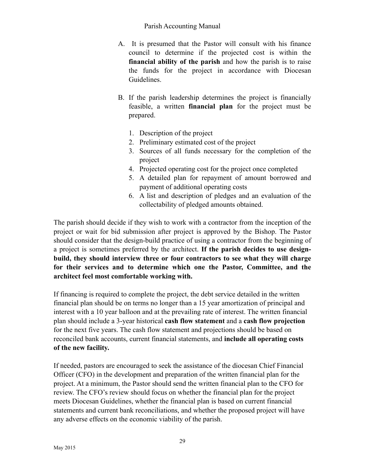- A. It is presumed that the Pastor will consult with his finance council to determine if the projected cost is within the **financial ability of the parish** and how the parish is to raise the funds for the project in accordance with Diocesan Guidelines.
- B. If the parish leadership determines the project is financially feasible, a written **financial plan** for the project must be prepared.
	- 1. Description of the project
	- 2. Preliminary estimated cost of the project
	- 3. Sources of all funds necessary for the completion of the project
	- 4. Projected operating cost for the project once completed
	- 5. A detailed plan for repayment of amount borrowed and payment of additional operating costs
	- 6. A list and description of pledges and an evaluation of the collectability of pledged amounts obtained.

The parish should decide if they wish to work with a contractor from the inception of the project or wait for bid submission after project is approved by the Bishop. The Pastor should consider that the design-build practice of using a contractor from the beginning of a project is sometimes preferred by the architect. **If the parish decides to use designbuild, they should interview three or four contractors to see what they will charge for their services and to determine which one the Pastor, Committee, and the architect feel most comfortable working with.** 

If financing is required to complete the project, the debt service detailed in the written financial plan should be on terms no longer than a 15 year amortization of principal and interest with a 10 year balloon and at the prevailing rate of interest. The written financial plan should include a 3-year historical **cash flow statement** and a **cash flow projection** for the next five years. The cash flow statement and projections should be based on reconciled bank accounts, current financial statements, and **include all operating costs of the new facility.** 

If needed, pastors are encouraged to seek the assistance of the diocesan Chief Financial Officer (CFO) in the development and preparation of the written financial plan for the project. At a minimum, the Pastor should send the written financial plan to the CFO for review. The CFO's review should focus on whether the financial plan for the project meets Diocesan Guidelines, whether the financial plan is based on current financial statements and current bank reconciliations, and whether the proposed project will have any adverse effects on the economic viability of the parish.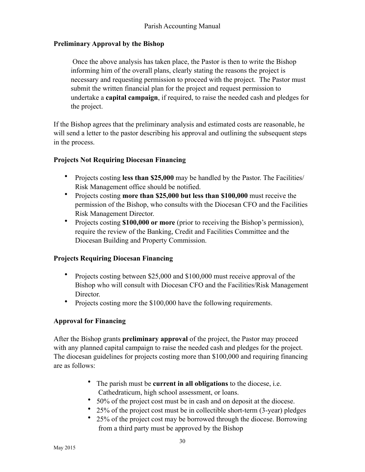#### **Preliminary Approval by the Bishop**

 Once the above analysis has taken place, the Pastor is then to write the Bishop informing him of the overall plans, clearly stating the reasons the project is necessary and requesting permission to proceed with the project. The Pastor must submit the written financial plan for the project and request permission to undertake a **capital campaign**, if required, to raise the needed cash and pledges for the project.

If the Bishop agrees that the preliminary analysis and estimated costs are reasonable, he will send a letter to the pastor describing his approval and outlining the subsequent steps in the process.

#### **Projects Not Requiring Diocesan Financing**

- Projects costing **less than \$25,000** may be handled by the Pastor. The Facilities/ Risk Management office should be notified.
- Projects costing **more than \$25,000 but less than \$100,000** must receive the permission of the Bishop, who consults with the Diocesan CFO and the Facilities Risk Management Director.
- Projects costing **\$100,000 or more** (prior to receiving the Bishop's permission), require the review of the Banking, Credit and Facilities Committee and the Diocesan Building and Property Commission.

#### **Projects Requiring Diocesan Financing**

- Projects costing between \$25,000 and \$100,000 must receive approval of the Bishop who will consult with Diocesan CFO and the Facilities/Risk Management Director.
- Projects costing more the \$100,000 have the following requirements.

#### **Approval for Financing**

After the Bishop grants **preliminary approval** of the project, the Pastor may proceed with any planned capital campaign to raise the needed cash and pledges for the project. The diocesan guidelines for projects costing more than \$100,000 and requiring financing are as follows:

- The parish must be **current in all obligations** to the diocese, i.e. Cathedraticum, high school assessment, or loans.
- 50% of the project cost must be in cash and on deposit at the diocese.
- 25% of the project cost must be in collectible short-term (3-year) pledges
- 25% of the project cost may be borrowed through the diocese. Borrowing from a third party must be approved by the Bishop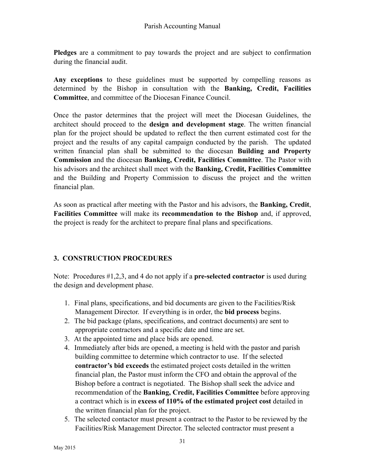**Pledges** are a commitment to pay towards the project and are subject to confirmation during the financial audit.

**Any exceptions** to these guidelines must be supported by compelling reasons as determined by the Bishop in consultation with the **Banking, Credit, Facilities Committee**, and committee of the Diocesan Finance Council.

Once the pastor determines that the project will meet the Diocesan Guidelines, the architect should proceed to the **design and development stage**. The written financial plan for the project should be updated to reflect the then current estimated cost for the project and the results of any capital campaign conducted by the parish. The updated written financial plan shall be submitted to the diocesan **Building and Property Commission** and the diocesan **Banking, Credit, Facilities Committee**. The Pastor with his advisors and the architect shall meet with the **Banking, Credit, Facilities Committee** and the Building and Property Commission to discuss the project and the written financial plan.

As soon as practical after meeting with the Pastor and his advisors, the **Banking, Credit**, **Facilities Committee** will make its **recommendation to the Bishop** and, if approved, the project is ready for the architect to prepare final plans and specifications.

#### **3. CONSTRUCTION PROCEDURES**

Note: Procedures #1,2,3, and 4 do not apply if a **pre-selected contractor** is used during the design and development phase.

- 1. Final plans, specifications, and bid documents are given to the Facilities/Risk Management Director. If everything is in order, the **bid process** begins.
- 2. The bid package (plans, specifications, and contract documents) are sent to appropriate contractors and a specific date and time are set.
- 3. At the appointed time and place bids are opened.
- 4. Immediately after bids are opened, a meeting is held with the pastor and parish building committee to determine which contractor to use. If the selected **contractor's bid exceeds** the estimated project costs detailed in the written financial plan, the Pastor must inform the CFO and obtain the approval of the Bishop before a contract is negotiated. The Bishop shall seek the advice and recommendation of the **Banking, Credit, Facilities Committee** before approving a contract which is in **excess of 110% of the estimated project cost** detailed in the written financial plan for the project.
- 5. The selected contactor must present a contract to the Pastor to be reviewed by the Facilities/Risk Management Director. The selected contractor must present a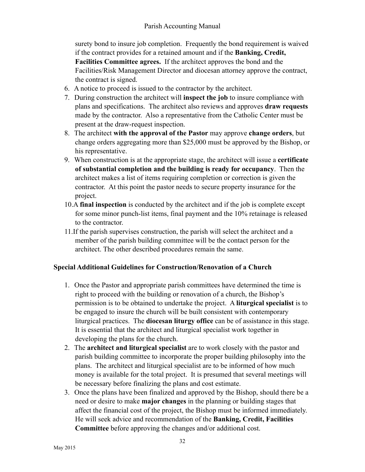surety bond to insure job completion. Frequently the bond requirement is waived if the contract provides for a retained amount and if the **Banking, Credit, Facilities Committee agrees.** If the architect approves the bond and the Facilities/Risk Management Director and diocesan attorney approve the contract, the contract is signed.

- 6. A notice to proceed is issued to the contractor by the architect.
- 7. During construction the architect will **inspect the job** to insure compliance with plans and specifications. The architect also reviews and approves **draw requests** made by the contractor. Also a representative from the Catholic Center must be present at the draw-request inspection.
- 8. The architect **with the approval of the Pastor** may approve **change orders**, but change orders aggregating more than \$25,000 must be approved by the Bishop, or his representative.
- 9. When construction is at the appropriate stage, the architect will issue a **certificate of substantial completion and the building is ready for occupancy**. Then the architect makes a list of items requiring completion or correction is given the contractor. At this point the pastor needs to secure property insurance for the project.
- 10.A **final inspection** is conducted by the architect and if the job is complete except for some minor punch-list items, final payment and the 10% retainage is released to the contractor.
- 11.If the parish supervises construction, the parish will select the architect and a member of the parish building committee will be the contact person for the architect. The other described procedures remain the same.

## **Special Additional Guidelines for Construction/Renovation of a Church**

- 1. Once the Pastor and appropriate parish committees have determined the time is right to proceed with the building or renovation of a church, the Bishop's permission is to be obtained to undertake the project. A **liturgical specialist** is to be engaged to insure the church will be built consistent with contemporary liturgical practices. The **diocesan liturgy office** can be of assistance in this stage. It is essential that the architect and liturgical specialist work together in developing the plans for the church.
- 2. The **architect and liturgical specialist** are to work closely with the pastor and parish building committee to incorporate the proper building philosophy into the plans. The architect and liturgical specialist are to be informed of how much money is available for the total project. It is presumed that several meetings will be necessary before finalizing the plans and cost estimate.
- 3. Once the plans have been finalized and approved by the Bishop, should there be a need or desire to make **major changes** in the planning or building stages that affect the financial cost of the project, the Bishop must be informed immediately. He will seek advice and recommendation of the **Banking, Credit, Facilities Committee** before approving the changes and/or additional cost.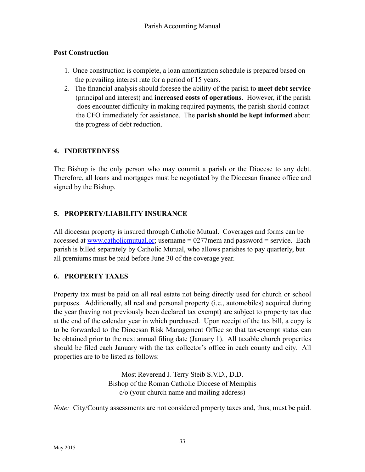## **Post Construction**

- 1. Once construction is complete, a loan amortization schedule is prepared based on the prevailing interest rate for a period of 15 years.
- 2. The financial analysis should foresee the ability of the parish to **meet debt service** (principal and interest) and **increased costs of operations**. However, if the parish does encounter difficulty in making required payments, the parish should contact the CFO immediately for assistance. The **parish should be kept informed** about the progress of debt reduction.

## **4. INDEBTEDNESS**

The Bishop is the only person who may commit a parish or the Diocese to any debt. Therefore, all loans and mortgages must be negotiated by the Diocesan finance office and signed by the Bishop.

## **5. PROPERTY/LIABILITY INSURANCE**

All diocesan property is insured through Catholic Mutual. Coverages and forms can be accessed at [www.catholicmutual.or](http://www.catholicmutual.or); username = 0277mem and password = service. Each parish is billed separately by Catholic Mutual, who allows parishes to pay quarterly, but all premiums must be paid before June 30 of the coverage year.

## **6. PROPERTY TAXES**

Property tax must be paid on all real estate not being directly used for church or school purposes. Additionally, all real and personal property (i.e., automobiles) acquired during the year (having not previously been declared tax exempt) are subject to property tax due at the end of the calendar year in which purchased. Upon receipt of the tax bill, a copy is to be forwarded to the Diocesan Risk Management Office so that tax-exempt status can be obtained prior to the next annual filing date (January 1). All taxable church properties should be filed each January with the tax collector's office in each county and city. All properties are to be listed as follows:

> Most Reverend J. Terry Steib S.V.D., D.D. Bishop of the Roman Catholic Diocese of Memphis c/o (your church name and mailing address)

*Note:* City/County assessments are not considered property taxes and, thus, must be paid.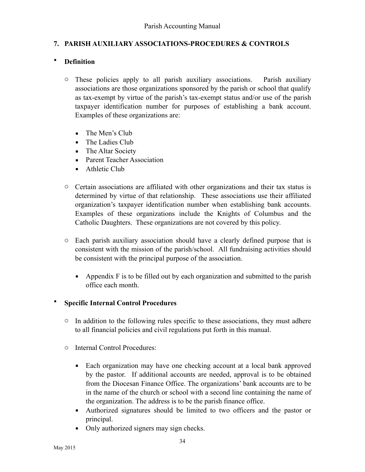#### **7. PARISH AUXILIARY ASSOCIATIONS-PROCEDURES & CONTROLS**

#### • **Definition**

- o These policies apply to all parish auxiliary associations. Parish auxiliary associations are those organizations sponsored by the parish or school that qualify as tax-exempt by virtue of the parish's tax-exempt status and/or use of the parish taxpayer identification number for purposes of establishing a bank account. Examples of these organizations are:
	- **·** The Men's Club
	- **•** The Ladies Club
	- **-** The Altar Society
	- Parent Teacher Association
	- **EXECUTE:** Athletic Club
- o Certain associations are affiliated with other organizations and their tax status is determined by virtue of that relationship. These associations use their affiliated organization's taxpayer identification number when establishing bank accounts. Examples of these organizations include the Knights of Columbus and the Catholic Daughters. These organizations are not covered by this policy.
- o Each parish auxiliary association should have a clearly defined purpose that is consistent with the mission of the parish/school. All fundraising activities should be consistent with the principal purpose of the association.
	- **•** Appendix  $\vec{F}$  is to be filled out by each organization and submitted to the parish office each month.

#### • **Specific Internal Control Procedures**

- o In addition to the following rules specific to these associations, they must adhere to all financial policies and civil regulations put forth in this manual.
- o Internal Control Procedures:
	- Each organization may have one checking account at a local bank approved by the pastor. If additional accounts are needed, approval is to be obtained from the Diocesan Finance Office. The organizations' bank accounts are to be in the name of the church or school with a second line containing the name of the organization. The address is to be the parish finance office.
	- Authorized signatures should be limited to two officers and the pastor or principal.
	- Only authorized signers may sign checks.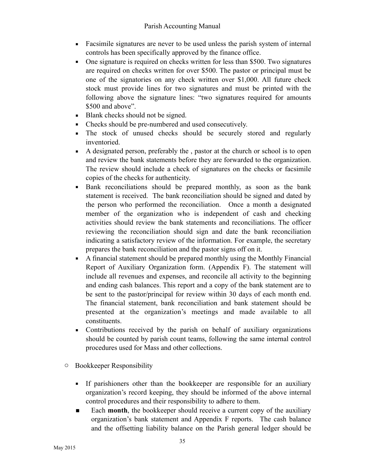- Facsimile signatures are never to be used unless the parish system of internal controls has been specifically approved by the finance office.
- One signature is required on checks written for less than \$500. Two signatures are required on checks written for over \$500. The pastor or principal must be one of the signatories on any check written over \$1,000. All future check stock must provide lines for two signatures and must be printed with the following above the signature lines: "two signatures required for amounts \$500 and above".
- Blank checks should not be signed.
- Checks should be pre-numbered and used consecutively.
- The stock of unused checks should be securely stored and regularly inventoried.
- A designated person, preferably the , pastor at the church or school is to open and review the bank statements before they are forwarded to the organization. The review should include a check of signatures on the checks or facsimile copies of the checks for authenticity.
- Bank reconciliations should be prepared monthly, as soon as the bank statement is received. The bank reconciliation should be signed and dated by the person who performed the reconciliation. Once a month a designated member of the organization who is independent of cash and checking activities should review the bank statements and reconciliations. The officer reviewing the reconciliation should sign and date the bank reconciliation indicating a satisfactory review of the information. For example, the secretary prepares the bank reconciliation and the pastor signs off on it.
- A financial statement should be prepared monthly using the Monthly Financial Report of Auxiliary Organization form. (Appendix F). The statement will include all revenues and expenses, and reconcile all activity to the beginning and ending cash balances. This report and a copy of the bank statement are to be sent to the pastor/principal for review within 30 days of each month end. The financial statement, bank reconciliation and bank statement should be presented at the organization's meetings and made available to all constituents.
- Contributions received by the parish on behalf of auxiliary organizations should be counted by parish count teams, following the same internal control procedures used for Mass and other collections.
- o Bookkeeper Responsibility
	- **If parishioners other than the bookkeeper are responsible for an auxiliary** organization's record keeping, they should be informed of the above internal control procedures and their responsibility to adhere to them.
	- Each **month**, the bookkeeper should receive a current copy of the auxiliary organization's bank statement and Appendix F reports. The cash balance and the offsetting liability balance on the Parish general ledger should be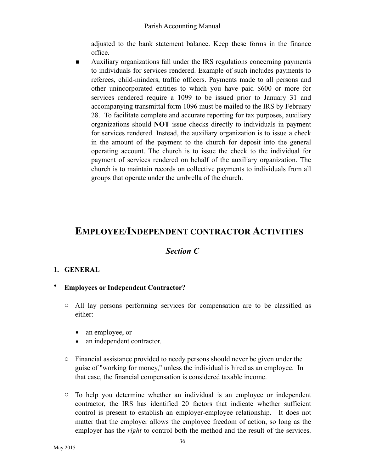adjusted to the bank statement balance. Keep these forms in the finance office.

**EXECUTE:** Auxiliary organizations fall under the IRS regulations concerning payments to individuals for services rendered. Example of such includes payments to referees, child-minders, traffic officers. Payments made to all persons and other unincorporated entities to which you have paid \$600 or more for services rendered require a 1099 to be issued prior to January 31 and accompanying transmittal form 1096 must be mailed to the IRS by February 28. To facilitate complete and accurate reporting for tax purposes, auxiliary organizations should **NOT** issue checks directly to individuals in payment for services rendered. Instead, the auxiliary organization is to issue a check in the amount of the payment to the church for deposit into the general operating account. The church is to issue the check to the individual for payment of services rendered on behalf of the auxiliary organization. The church is to maintain records on collective payments to individuals from all groups that operate under the umbrella of the church.

## **EMPLOYEE/INDEPENDENT CONTRACTOR ACTIVITIES**

## *Section C*

## **1. GENERAL**

- **Employees or Independent Contractor?** 
	- o All lay persons performing services for compensation are to be classified as either:
		- an employee, or
		- an independent contractor.
	- o Financial assistance provided to needy persons should never be given under the guise of "working for money," unless the individual is hired as an employee. In that case, the financial compensation is considered taxable income.
	- o To help you determine whether an individual is an employee or independent contractor, the IRS has identified 20 factors that indicate whether sufficient control is present to establish an employer-employee relationship. It does not matter that the employer allows the employee freedom of action, so long as the employer has the *right* to control both the method and the result of the services.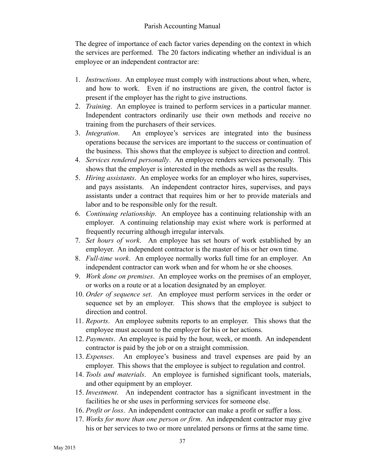The degree of importance of each factor varies depending on the context in which the services are performed. The 20 factors indicating whether an individual is an employee or an independent contractor are:

- 1. *Instructions*. An employee must comply with instructions about when, where, and how to work. Even if no instructions are given, the control factor is present if the employer has the right to give instructions.
- 2. *Training*. An employee is trained to perform services in a particular manner. Independent contractors ordinarily use their own methods and receive no training from the purchasers of their services.
- 3. *Integration*. An employee's services are integrated into the business operations because the services are important to the success or continuation of the business. This shows that the employee is subject to direction and control.
- 4. *Services rendered personally*. An employee renders services personally. This shows that the employer is interested in the methods as well as the results.
- 5. *Hiring assistants*. An employee works for an employer who hires, supervises, and pays assistants. An independent contractor hires, supervises, and pays assistants under a contract that requires him or her to provide materials and labor and to be responsible only for the result.
- 6. *Continuing relationship*. An employee has a continuing relationship with an employer. A continuing relationship may exist where work is performed at frequently recurring although irregular intervals.
- 7. *Set hours of work*. An employee has set hours of work established by an employer. An independent contractor is the master of his or her own time.
- 8. *Full-time work*. An employee normally works full time for an employer. An independent contractor can work when and for whom he or she chooses.
- 9. *Work done on premises*. An employee works on the premises of an employer, or works on a route or at a location designated by an employer.
- 10. *Order of sequence set*. An employee must perform services in the order or sequence set by an employer. This shows that the employee is subject to direction and control.
- 11. *Reports*. An employee submits reports to an employer. This shows that the employee must account to the employer for his or her actions.
- 12. *Payments*. An employee is paid by the hour, week, or month. An independent contractor is paid by the job or on a straight commission.
- 13. *Expenses*. An employee's business and travel expenses are paid by an employer. This shows that the employee is subject to regulation and control.
- 14. *Tools and materials*. An employee is furnished significant tools, materials, and other equipment by an employer.
- 15. *Investment*. An independent contractor has a significant investment in the facilities he or she uses in performing services for someone else.
- 16. *Profit or loss*. An independent contractor can make a profit or suffer a loss.
- 17. *Works for more than one person or firm*. An independent contractor may give his or her services to two or more unrelated persons or firms at the same time.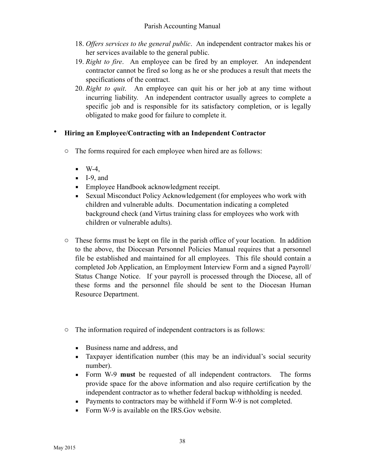- 18. *Offers services to the general public*. An independent contractor makes his or her services available to the general public.
- 19. *Right to fire*. An employee can be fired by an employer. An independent contractor cannot be fired so long as he or she produces a result that meets the specifications of the contract.
- 20. *Right to quit*. An employee can quit his or her job at any time without incurring liability. An independent contractor usually agrees to complete a specific job and is responsible for its satisfactory completion, or is legally obligated to make good for failure to complete it.

#### • **Hiring an Employee/Contracting with an Independent Contractor**

- o The forms required for each employee when hired are as follows:
	- $\blacksquare$  W-4,
	- $-I-9$ , and
	- **Employee Handbook acknowledgment receipt.**
	- **•** Sexual Misconduct Policy Acknowledgement (for employees who work with children and vulnerable adults. Documentation indicating a completed background check (and Virtus training class for employees who work with children or vulnerable adults).
- $\circ$  These forms must be kept on file in the parish office of your location. In addition to the above, the Diocesan Personnel Policies Manual requires that a personnel file be established and maintained for all employees. This file should contain a completed Job Application, an Employment Interview Form and a signed Payroll/ Status Change Notice. If your payroll is processed through the Diocese, all of these forms and the personnel file should be sent to the Diocesan Human Resource Department.
- o The information required of independent contractors is as follows:
	- Business name and address, and
	- **Example 1** Taxpayer identification number (this may be an individual's social security number).
	- Form W-9 **must** be requested of all independent contractors. The forms provide space for the above information and also require certification by the independent contractor as to whether federal backup withholding is needed.
	- Payments to contractors may be withheld if Form W-9 is not completed.
	- Form W-9 is available on the IRS.Gov website.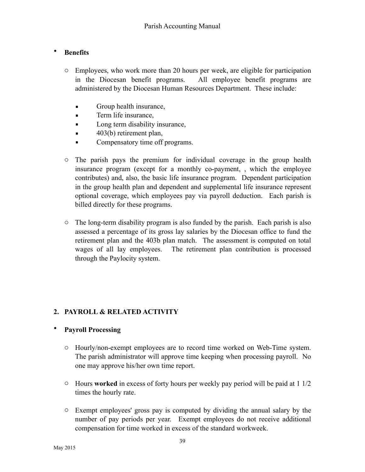#### • **Benefits**

- o Employees, who work more than 20 hours per week, are eligible for participation in the Diocesan benefit programs. All employee benefit programs are administered by the Diocesan Human Resources Department. These include:
	- **•** Group health insurance,
	- **EXECUTE:** Term life insurance,
	- **•** Long term disability insurance,
	- $\blacksquare$  403(b) retirement plan,
	- **Compensatory time off programs.**
- o The parish pays the premium for individual coverage in the group health insurance program (except for a monthly co-payment, , which the employee contributes) and, also, the basic life insurance program. Dependent participation in the group health plan and dependent and supplemental life insurance represent optional coverage, which employees pay via payroll deduction. Each parish is billed directly for these programs.
- o The long-term disability program is also funded by the parish. Each parish is also assessed a percentage of its gross lay salaries by the Diocesan office to fund the retirement plan and the 403b plan match. The assessment is computed on total wages of all lay employees. The retirement plan contribution is processed through the Paylocity system.

## **2. PAYROLL & RELATED ACTIVITY**

#### • **Payroll Processing**

- o Hourly/non-exempt employees are to record time worked on Web-Time system. The parish administrator will approve time keeping when processing payroll. No one may approve his/her own time report.
- o Hours **worked** in excess of forty hours per weekly pay period will be paid at 1 1/2 times the hourly rate.
- o Exempt employees' gross pay is computed by dividing the annual salary by the number of pay periods per year. Exempt employees do not receive additional compensation for time worked in excess of the standard workweek.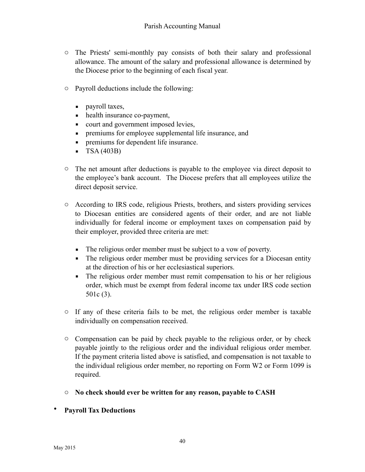- o The Priests' semi-monthly pay consists of both their salary and professional allowance. The amount of the salary and professional allowance is determined by the Diocese prior to the beginning of each fiscal year.
- o Payroll deductions include the following:
	- **•** payroll taxes,
	- health insurance co-payment,
	- court and government imposed levies,
	- **•** premiums for employee supplemental life insurance, and
	- **•** premiums for dependent life insurance.
	- $\blacksquare$  TSA (403B)
- o The net amount after deductions is payable to the employee via direct deposit to the employee's bank account. The Diocese prefers that all employees utilize the direct deposit service.
- o According to IRS code, religious Priests, brothers, and sisters providing services to Diocesan entities are considered agents of their order, and are not liable individually for federal income or employment taxes on compensation paid by their employer, provided three criteria are met:
	- **•** The religious order member must be subject to a vow of poverty.
	- **•** The religious order member must be providing services for a Diocesan entity at the direction of his or her ecclesiastical superiors.
	- **•** The religious order member must remit compensation to his or her religious order, which must be exempt from federal income tax under IRS code section 501c (3).
- o If any of these criteria fails to be met, the religious order member is taxable individually on compensation received.
- o Compensation can be paid by check payable to the religious order, or by check payable jointly to the religious order and the individual religious order member. If the payment criteria listed above is satisfied, and compensation is not taxable to the individual religious order member, no reporting on Form W2 or Form 1099 is required.
- o **No check should ever be written for any reason, payable to CASH**
- **Payroll Tax Deductions**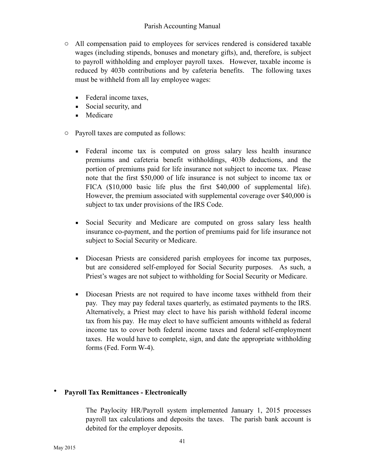- o All compensation paid to employees for services rendered is considered taxable wages (including stipends, bonuses and monetary gifts), and, therefore, is subject to payroll withholding and employer payroll taxes. However, taxable income is reduced by 403b contributions and by cafeteria benefits. The following taxes must be withheld from all lay employee wages:
	- Federal income taxes,
	- Social security, and
	- Medicare
- o Payroll taxes are computed as follows:
	- Federal income tax is computed on gross salary less health insurance premiums and cafeteria benefit withholdings, 403b deductions, and the portion of premiums paid for life insurance not subject to income tax. Please note that the first \$50,000 of life insurance is not subject to income tax or FICA (\$10,000 basic life plus the first \$40,000 of supplemental life). However, the premium associated with supplemental coverage over \$40,000 is subject to tax under provisions of the IRS Code.
	- Social Security and Medicare are computed on gross salary less health insurance co-payment, and the portion of premiums paid for life insurance not subject to Social Security or Medicare.
	- **•** Diocesan Priests are considered parish employees for income tax purposes, but are considered self-employed for Social Security purposes. As such, a Priest's wages are not subject to withholding for Social Security or Medicare.
	- **•** Diocesan Priests are not required to have income taxes withheld from their pay. They may pay federal taxes quarterly, as estimated payments to the IRS. Alternatively, a Priest may elect to have his parish withhold federal income tax from his pay. He may elect to have sufficient amounts withheld as federal income tax to cover both federal income taxes and federal self-employment taxes. He would have to complete, sign, and date the appropriate withholding forms (Fed. Form W-4).

#### • **Payroll Tax Remittances - Electronically**

The Paylocity HR/Payroll system implemented January 1, 2015 processes payroll tax calculations and deposits the taxes. The parish bank account is debited for the employer deposits.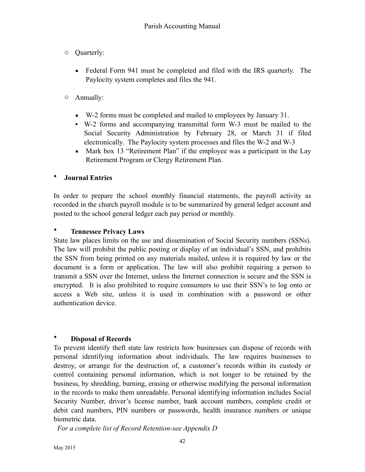- o Quarterly:
	- Federal Form 941 must be completed and filed with the IRS quarterly. The Paylocity system completes and files the 941.
- o Annually:
	- W-2 forms must be completed and mailed to employees by January 31.
	- W-2 forms and accompanying transmittal form W-3 must be mailed to the Social Security Administration by February 28, or March 31 if filed electronically. The Paylocity system processes and files the W-2 and W-3
	- Mark box 13 "Retirement Plan" if the employee was a participant in the Lay Retirement Program or Clergy Retirement Plan.

#### • **Journal Entries**

In order to prepare the school monthly financial statements, the payroll activity as recorded in the church payroll module is to be summarized by general ledger account and posted to the school general ledger each pay period or monthly.

#### • **Tennessee Privacy Laws**

State law places limits on the use and dissemination of Social Security numbers (SSNs). The law will prohibit the public posting or display of an individual's SSN, and prohibits the SSN from being printed on any materials mailed, unless it is required by law or the document is a form or application. The law will also prohibit requiring a person to transmit a SSN over the Internet, unless the Internet connection is secure and the SSN is encrypted. It is also prohibited to require consumers to use their SSN's to log onto or access a Web site, unless it is used in combination with a password or other authentication device.

#### • **Disposal of Records**

To prevent identify theft state law restricts how businesses can dispose of records with personal identifying information about individuals. The law requires businesses to destroy, or arrange for the destruction of, a customer's records within its custody or control containing personal information, which is not longer to be retained by the business, by shredding, burning, erasing or otherwise modifying the personal information in the records to make them unreadable. Personal identifying information includes Social Security Number, driver's license number, bank account numbers, complete credit or debit card numbers, PIN numbers or passwords, health insurance numbers or unique biometric data.

*For a complete list of Record Retention-see Appendix D*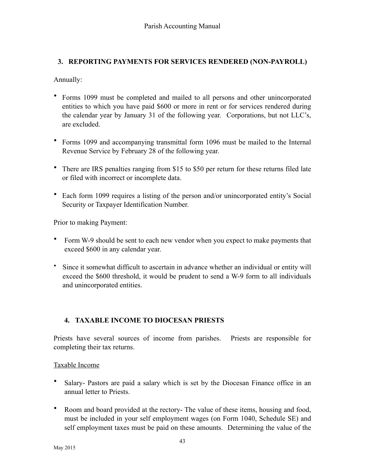## **3. REPORTING PAYMENTS FOR SERVICES RENDERED (NON-PAYROLL)**

Annually:

- Forms 1099 must be completed and mailed to all persons and other unincorporated entities to which you have paid \$600 or more in rent or for services rendered during the calendar year by January 31 of the following year. Corporations, but not LLC's, are excluded.
- Forms 1099 and accompanying transmittal form 1096 must be mailed to the Internal Revenue Service by February 28 of the following year.
- There are IRS penalties ranging from \$15 to \$50 per return for these returns filed late or filed with incorrect or incomplete data.
- Each form 1099 requires a listing of the person and/or unincorporated entity's Social Security or Taxpayer Identification Number.

Prior to making Payment:

- Form W-9 should be sent to each new vendor when you expect to make payments that exceed \$600 in any calendar year.
- Since it somewhat difficult to ascertain in advance whether an individual or entity will exceed the \$600 threshold, it would be prudent to send a W-9 form to all individuals and unincorporated entities.

## **4. TAXABLE INCOME TO DIOCESAN PRIESTS**

Priests have several sources of income from parishes. Priests are responsible for completing their tax returns.

#### Taxable Income

- Salary- Pastors are paid a salary which is set by the Diocesan Finance office in an annual letter to Priests.
- Room and board provided at the rectory- The value of these items, housing and food, must be included in your self employment wages (on Form 1040, Schedule SE) and self employment taxes must be paid on these amounts. Determining the value of the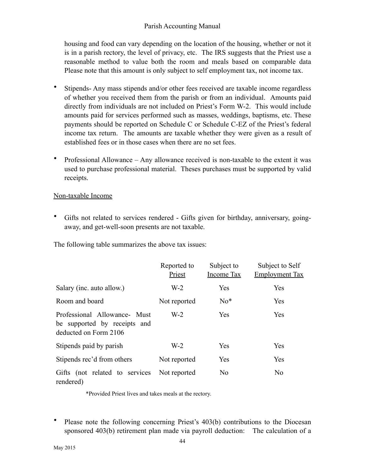housing and food can vary depending on the location of the housing, whether or not it is in a parish rectory, the level of privacy, etc. The IRS suggests that the Priest use a reasonable method to value both the room and meals based on comparable data Please note that this amount is only subject to self employment tax, not income tax.

- Stipends- Any mass stipends and/or other fees received are taxable income regardless of whether you received them from the parish or from an individual. Amounts paid directly from individuals are not included on Priest's Form W-2. This would include amounts paid for services performed such as masses, weddings, baptisms, etc. These payments should be reported on Schedule C or Schedule C-EZ of the Priest's federal income tax return. The amounts are taxable whether they were given as a result of established fees or in those cases when there are no set fees.
- Professional Allowance Any allowance received is non-taxable to the extent it was used to purchase professional material. Theses purchases must be supported by valid receipts.

#### Non-taxable Income

• Gifts not related to services rendered - Gifts given for birthday, anniversary, goingaway, and get-well-soon presents are not taxable.

The following table summarizes the above tax issues:

|                                                                                       | Reported to<br>Priest | Subject to<br>Income Tax | Subject to Self<br><b>Employment Tax</b> |
|---------------------------------------------------------------------------------------|-----------------------|--------------------------|------------------------------------------|
| Salary (inc. auto allow.)                                                             | $W-2$                 | Yes                      | Yes                                      |
| Room and board                                                                        | Not reported          | $No*$                    | Yes                                      |
| Professional Allowance- Must<br>be supported by receipts and<br>deducted on Form 2106 | $W-2$                 | Yes                      | Yes                                      |
| Stipends paid by parish                                                               | $W-2$                 | Yes                      | Yes                                      |
| Stipends rec'd from others                                                            | Not reported          | Yes                      | Yes                                      |
| Gifts (not related to services<br>rendered)                                           | Not reported          | N <sub>0</sub>           | N <sub>0</sub>                           |

\*Provided Priest lives and takes meals at the rectory.

Please note the following concerning Priest's 403(b) contributions to the Diocesan sponsored 403(b) retirement plan made via payroll deduction: The calculation of a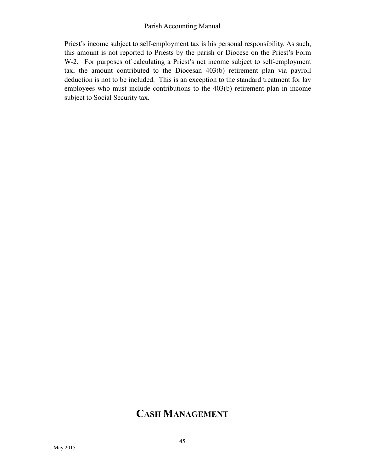Priest's income subject to self-employment tax is his personal responsibility. As such, this amount is not reported to Priests by the parish or Diocese on the Priest's Form W-2. For purposes of calculating a Priest's net income subject to self-employment tax, the amount contributed to the Diocesan 403(b) retirement plan via payroll deduction is not to be included. This is an exception to the standard treatment for lay employees who must include contributions to the 403(b) retirement plan in income subject to Social Security tax.

## **CASH MANAGEMENT**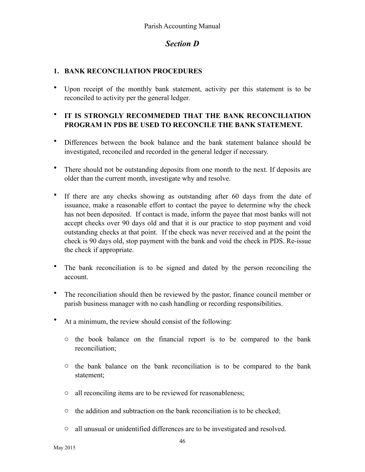## *Section D*

#### **1. BANK RECONCILIATION PROCEDURES**

• Upon receipt of the monthly bank statement, activity per this statement is to be reconciled to activity per the general ledger.

#### • **IT IS STRONGLY RECOMMEDED THAT THE BANK RECONCILIATION PROGRAM IN PDS BE USED TO RECONCILE THE BANK STATEMENT.**

- Differences between the book balance and the bank statement balance should be investigated, reconciled and recorded in the general ledger if necessary.
- There should not be outstanding deposits from one month to the next. If deposits are older than the current month, investigate why and resolve.
- If there are any checks showing as outstanding after 60 days from the date of issuance, make a reasonable effort to contact the payee to determine why the check has not been deposited. If contact is made, inform the payee that most banks will not accept checks over 90 days old and that it is our practice to stop payment and void outstanding checks at that point. If the check was never received and at the point the check is 90 days old, stop payment with the bank and void the check in PDS. Re-issue the check if appropriate.
- The bank reconciliation is to be signed and dated by the person reconciling the account.
- The reconciliation should then be reviewed by the pastor, finance council member or parish business manager with no cash handling or recording responsibilities.
- At a minimum, the review should consist of the following:
	- o the book balance on the financial report is to be compared to the bank reconciliation;
	- o the bank balance on the bank reconciliation is to be compared to the bank statement;
	- o all reconciling items are to be reviewed for reasonableness;
	- o the addition and subtraction on the bank reconciliation is to be checked;
	- o all unusual or unidentified differences are to be investigated and resolved.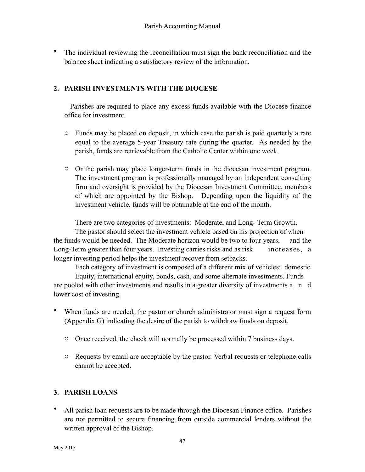• The individual reviewing the reconciliation must sign the bank reconciliation and the balance sheet indicating a satisfactory review of the information.

## **2. PARISH INVESTMENTS WITH THE DIOCESE**

Parishes are required to place any excess funds available with the Diocese finance office for investment.

- o Funds may be placed on deposit, in which case the parish is paid quarterly a rate equal to the average 5-year Treasury rate during the quarter. As needed by the parish, funds are retrievable from the Catholic Center within one week.
- o Or the parish may place longer-term funds in the diocesan investment program. The investment program is professionally managed by an independent consulting firm and oversight is provided by the Diocesan Investment Committee, members of which are appointed by the Bishop. Depending upon the liquidity of the investment vehicle, funds will be obtainable at the end of the month.

There are two categories of investments: Moderate, and Long- Term Growth.

 The pastor should select the investment vehicle based on his projection of when the funds would be needed. The Moderate horizon would be two to four years, and the Long-Term greater than four years. Investing carries risks and as risk increases, a longer investing period helps the investment recover from setbacks.

Each category of investment is composed of a different mix of vehicles: domestic

 Equity, international equity, bonds, cash, and some alternate investments. Funds are pooled with other investments and results in a greater diversity of investments a n d lower cost of investing.

- When funds are needed, the pastor or church administrator must sign a request form (Appendix G) indicating the desire of the parish to withdraw funds on deposit.
	- o Once received, the check will normally be processed within 7 business days.
	- o Requests by email are acceptable by the pastor. Verbal requests or telephone calls cannot be accepted.

## **3. PARISH LOANS**

• All parish loan requests are to be made through the Diocesan Finance office. Parishes are not permitted to secure financing from outside commercial lenders without the written approval of the Bishop.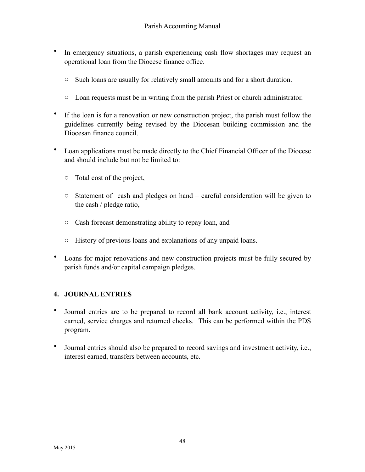- In emergency situations, a parish experiencing cash flow shortages may request an operational loan from the Diocese finance office.
	- o Such loans are usually for relatively small amounts and for a short duration.
	- o Loan requests must be in writing from the parish Priest or church administrator.
- If the loan is for a renovation or new construction project, the parish must follow the guidelines currently being revised by the Diocesan building commission and the Diocesan finance council.
- Loan applications must be made directly to the Chief Financial Officer of the Diocese and should include but not be limited to:
	- o Total cost of the project,
	- o Statement of cash and pledges on hand careful consideration will be given to the cash / pledge ratio,
	- o Cash forecast demonstrating ability to repay loan, and
	- o History of previous loans and explanations of any unpaid loans.
- Loans for major renovations and new construction projects must be fully secured by parish funds and/or capital campaign pledges.

#### **4. JOURNAL ENTRIES**

- Journal entries are to be prepared to record all bank account activity, i.e., interest earned, service charges and returned checks. This can be performed within the PDS program.
- Journal entries should also be prepared to record savings and investment activity, i.e., interest earned, transfers between accounts, etc.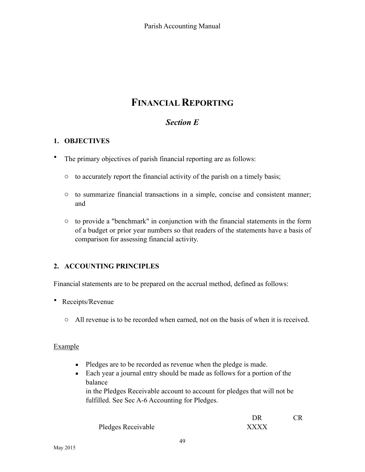## **FINANCIAL REPORTING**

## *Section E*

## **1. OBJECTIVES**

- The primary objectives of parish financial reporting are as follows:
	- o to accurately report the financial activity of the parish on a timely basis;
	- o to summarize financial transactions in a simple, concise and consistent manner; and
	- o to provide a "benchmark" in conjunction with the financial statements in the form of a budget or prior year numbers so that readers of the statements have a basis of comparison for assessing financial activity.

#### **2. ACCOUNTING PRINCIPLES**

Financial statements are to be prepared on the accrual method, defined as follows:

- Receipts/Revenue
	- o All revenue is to be recorded when earned, not on the basis of when it is received.

#### Example

- Pledges are to be recorded as revenue when the pledge is made.
- Each year a journal entry should be made as follows for a portion of the balance

 in the Pledges Receivable account to account for pledges that will not be fulfilled. See Sec A-6 Accounting for Pledges.

|                    | DR          | <b>CR</b> |
|--------------------|-------------|-----------|
| Pledges Receivable | <b>XXXX</b> |           |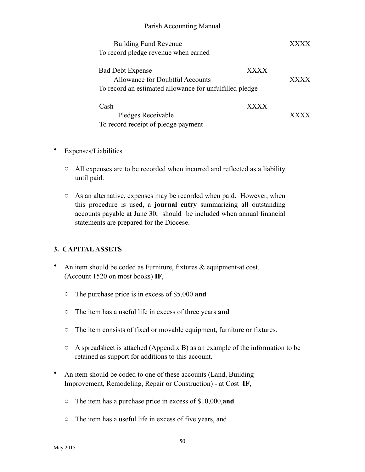| <b>Building Fund Revenue</b><br>To record pledge revenue when earned                                                  |             |  |
|-----------------------------------------------------------------------------------------------------------------------|-------------|--|
| <b>Bad Debt Expense</b><br>Allowance for Doubtful Accounts<br>To record an estimated allowance for unfulfilled pledge | <b>XXXX</b> |  |
| Cash<br>Pledges Receivable<br>To record receipt of pledge payment                                                     | <b>XXXX</b> |  |

- Expenses/Liabilities
	- o All expenses are to be recorded when incurred and reflected as a liability until paid.
	- o As an alternative, expenses may be recorded when paid. However, when this procedure is used, a **journal entry** summarizing all outstanding accounts payable at June 30, should be included when annual financial statements are prepared for the Diocese.

#### **3. CAPITAL ASSETS**

- An item should be coded as Furniture, fixtures & equipment-at cost. (Account 1520 on most books) **IF**,
	- o The purchase price is in excess of \$5,000 **and**
	- o The item has a useful life in excess of three years **and**
	- o The item consists of fixed or movable equipment, furniture or fixtures.
	- o A spreadsheet is attached (Appendix B) as an example of the information to be retained as support for additions to this account.
- An item should be coded to one of these accounts (Land, Building Improvement, Remodeling, Repair or Construction) - at Cost **IF**,
	- o The item has a purchase price in excess of \$10,000,**and**
	- o The item has a useful life in excess of five years, and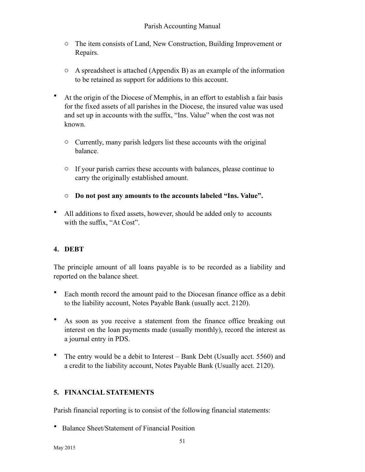- o The item consists of Land, New Construction, Building Improvement or Repairs.
- o A spreadsheet is attached (Appendix B) as an example of the information to be retained as support for additions to this account.
- At the origin of the Diocese of Memphis, in an effort to establish a fair basis for the fixed assets of all parishes in the Diocese, the insured value was used and set up in accounts with the suffix, "Ins. Value" when the cost was not known.
	- o Currently, many parish ledgers list these accounts with the original balance.
	- o If your parish carries these accounts with balances, please continue to carry the originally established amount.
	- o **Do not post any amounts to the accounts labeled "Ins. Value".**
- All additions to fixed assets, however, should be added only to accounts with the suffix, "At Cost".

#### **4. DEBT**

The principle amount of all loans payable is to be recorded as a liability and reported on the balance sheet.

- Each month record the amount paid to the Diocesan finance office as a debit to the liability account, Notes Payable Bank (usually acct. 2120).
- As soon as you receive a statement from the finance office breaking out interest on the loan payments made (usually monthly), record the interest as a journal entry in PDS.
- The entry would be a debit to Interest Bank Debt (Usually acct. 5560) and a credit to the liability account, Notes Payable Bank (Usually acct. 2120).

#### **5. FINANCIAL STATEMENTS**

Parish financial reporting is to consist of the following financial statements:

• Balance Sheet/Statement of Financial Position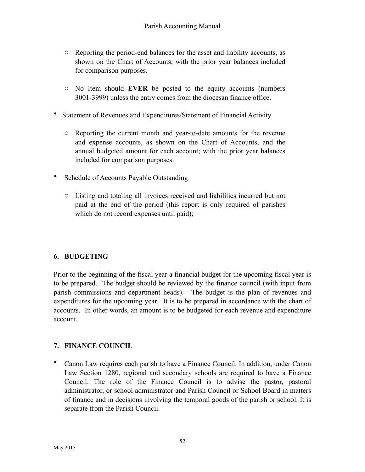- o Reporting the period-end balances for the asset and liability accounts, as shown on the Chart of Accounts; with the prior year balances included for comparison purposes.
- o No Item should **EVER** be posted to the equity accounts (numbers 3001-3999) unless the entry comes from the diocesan finance office.
- Statement of Revenues and Expenditures/Statement of Financial Activity
	- o Reporting the current month and year-to-date amounts for the revenue and expense accounts, as shown on the Chart of Accounts, and the annual budgeted amount for each account; with the prior year balances included for comparison purposes.
- Schedule of Accounts Payable Outstanding
	- o Listing and totaling all invoices received and liabilities incurred but not paid at the end of the period (this report is only required of parishes which do not record expenses until paid);

#### **6. BUDGETING**

Prior to the beginning of the fiscal year a financial budget for the upcoming fiscal year is to be prepared. The budget should be reviewed by the finance council (with input from parish commissions and department heads). The budget is the plan of revenues and expenditures for the upcoming year. It is to be prepared in accordance with the chart of accounts. In other words, an amount is to be budgeted for each revenue and expenditure account.

#### **7. FINANCE COUNCIL**

• Canon Law requires each parish to have a Finance Council. In addition, under Canon Law Section 1280, regional and secondary schools are required to have a Finance Council. The role of the Finance Council is to advise the pastor, pastoral administrator, or school administrator and Parish Council or School Board in matters of finance and in decisions involving the temporal goods of the parish or school. It is separate from the Parish Council.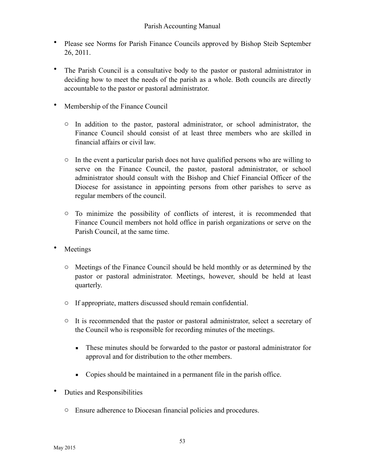- Please see Norms for Parish Finance Councils approved by Bishop Steib September 26, 2011.
- The Parish Council is a consultative body to the pastor or pastoral administrator in deciding how to meet the needs of the parish as a whole. Both councils are directly accountable to the pastor or pastoral administrator.
- Membership of the Finance Council
	- o In addition to the pastor, pastoral administrator, or school administrator, the Finance Council should consist of at least three members who are skilled in financial affairs or civil law.
	- $\circ$  In the event a particular parish does not have qualified persons who are willing to serve on the Finance Council, the pastor, pastoral administrator, or school administrator should consult with the Bishop and Chief Financial Officer of the Diocese for assistance in appointing persons from other parishes to serve as regular members of the council.
	- o To minimize the possibility of conflicts of interest, it is recommended that Finance Council members not hold office in parish organizations or serve on the Parish Council, at the same time.
- **Meetings** 
	- o Meetings of the Finance Council should be held monthly or as determined by the pastor or pastoral administrator. Meetings, however, should be held at least quarterly.
	- o If appropriate, matters discussed should remain confidential.
	- o It is recommended that the pastor or pastoral administrator, select a secretary of the Council who is responsible for recording minutes of the meetings.
		- **•** These minutes should be forwarded to the pastor or pastoral administrator for approval and for distribution to the other members.
		- Copies should be maintained in a permanent file in the parish office.
- Duties and Responsibilities
	- o Ensure adherence to Diocesan financial policies and procedures.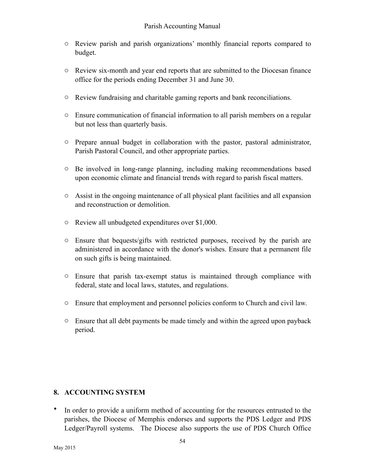- o Review parish and parish organizations' monthly financial reports compared to budget.
- o Review six-month and year end reports that are submitted to the Diocesan finance office for the periods ending December 31 and June 30.
- o Review fundraising and charitable gaming reports and bank reconciliations.
- o Ensure communication of financial information to all parish members on a regular but not less than quarterly basis.
- o Prepare annual budget in collaboration with the pastor, pastoral administrator, Parish Pastoral Council, and other appropriate parties.
- o Be involved in long-range planning, including making recommendations based upon economic climate and financial trends with regard to parish fiscal matters.
- o Assist in the ongoing maintenance of all physical plant facilities and all expansion and reconstruction or demolition.
- o Review all unbudgeted expenditures over \$1,000.
- o Ensure that bequests/gifts with restricted purposes, received by the parish are administered in accordance with the donor's wishes. Ensure that a permanent file on such gifts is being maintained.
- o Ensure that parish tax-exempt status is maintained through compliance with federal, state and local laws, statutes, and regulations.
- o Ensure that employment and personnel policies conform to Church and civil law.
- o Ensure that all debt payments be made timely and within the agreed upon payback period.

#### **8. ACCOUNTING SYSTEM**

• In order to provide a uniform method of accounting for the resources entrusted to the parishes, the Diocese of Memphis endorses and supports the PDS Ledger and PDS Ledger/Payroll systems. The Diocese also supports the use of PDS Church Office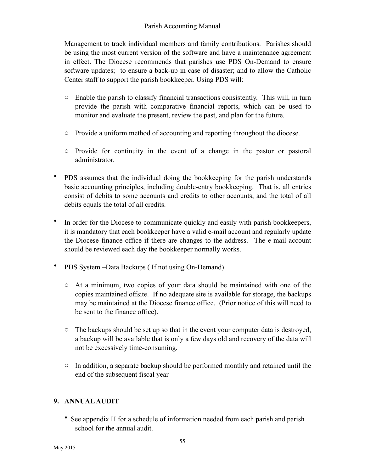Management to track individual members and family contributions. Parishes should be using the most current version of the software and have a maintenance agreement in effect. The Diocese recommends that parishes use PDS On-Demand to ensure software updates; to ensure a back-up in case of disaster; and to allow the Catholic Center staff to support the parish bookkeeper. Using PDS will:

- $\circ$  Enable the parish to classify financial transactions consistently. This will, in turn provide the parish with comparative financial reports, which can be used to monitor and evaluate the present, review the past, and plan for the future.
- o Provide a uniform method of accounting and reporting throughout the diocese.
- o Provide for continuity in the event of a change in the pastor or pastoral administrator.
- PDS assumes that the individual doing the bookkeeping for the parish understands basic accounting principles, including double-entry bookkeeping. That is, all entries consist of debits to some accounts and credits to other accounts, and the total of all debits equals the total of all credits.
- In order for the Diocese to communicate quickly and easily with parish bookkeepers, it is mandatory that each bookkeeper have a valid e-mail account and regularly update the Diocese finance office if there are changes to the address. The e-mail account should be reviewed each day the bookkeeper normally works.
- PDS System –Data Backups ( If not using On-Demand)
	- o At a minimum, two copies of your data should be maintained with one of the copies maintained offsite. If no adequate site is available for storage, the backups may be maintained at the Diocese finance office. (Prior notice of this will need to be sent to the finance office).
	- o The backups should be set up so that in the event your computer data is destroyed, a backup will be available that is only a few days old and recovery of the data will not be excessively time-consuming.
	- o In addition, a separate backup should be performed monthly and retained until the end of the subsequent fiscal year

#### **9. ANNUAL AUDIT**

• See appendix H for a schedule of information needed from each parish and parish school for the annual audit.